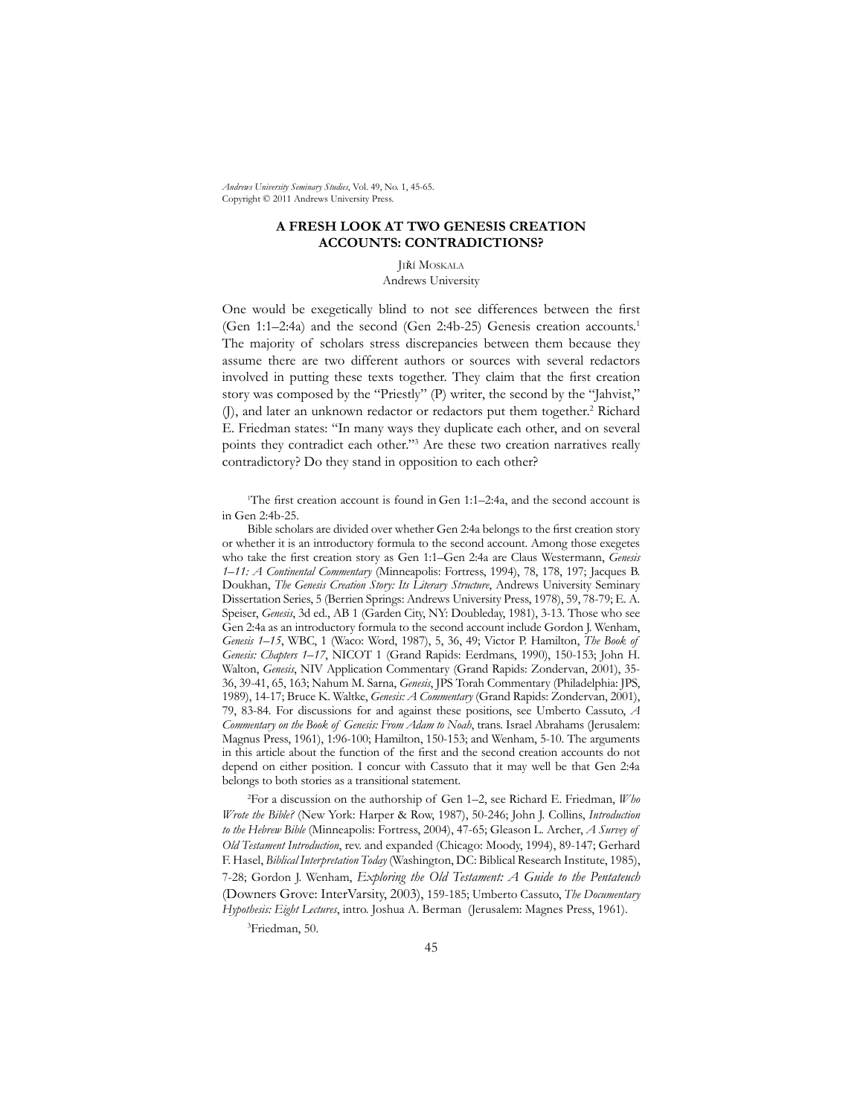*Andrews University Seminary Studies*, Vol. 49, No. 1, 45-65. Copyright © 2011 Andrews University Press.

## **A FRESH LOOK AT TWO GENESIS CREATION ACCOUNTS: CONTRADICTIONS?**

Jiří Moskala

Andrews University

One would be exegetically blind to not see differences between the first (Gen 1:1–2:4a) and the second (Gen 2:4b-25) Genesis creation accounts.1 The majority of scholars stress discrepancies between them because they assume there are two different authors or sources with several redactors involved in putting these texts together. They claim that the first creation story was composed by the "Priestly" (P) writer, the second by the "Jahvist," (J), and later an unknown redactor or redactors put them together.<sup>2</sup> Richard E. Friedman states: "In many ways they duplicate each other, and on several points they contradict each other."<sup>3</sup> Are these two creation narratives really contradictory? Do they stand in opposition to each other?

1 The first creation account is found in Gen 1:1–2:4a, and the second account is in Gen 2:4b-25.

Bible scholars are divided over whether Gen 2:4a belongs to the first creation story or whether it is an introductory formula to the second account. Among those exegetes who take the first creation story as Gen 1:1–Gen 2:4a are Claus Westermann, *Genesis 1–11: A Continental Commentary* (Minneapolis: Fortress, 1994), 78, 178, 197; Jacques B. Doukhan, *The Genesis Creation Story: Its Literary Structure*, Andrews University Seminary Dissertation Series, 5 (Berrien Springs: Andrews University Press, 1978), 59, 78-79; E. A. Speiser, *Genesis*, 3d ed., AB 1 (Garden City, NY: Doubleday, 1981), 3-13. Those who see Gen 2:4a as an introductory formula to the second account include Gordon J. Wenham, *Genesis 1–15*, WBC, 1 (Waco: Word, 1987), 5, 36, 49; Victor P. Hamilton, *The Book of Genesis: Chapters 1–17*, NICOT 1 (Grand Rapids: Eerdmans, 1990), 150-153; John H. Walton, *Genesis*, NIV Application Commentary (Grand Rapids: Zondervan, 2001), 35- 36, 39-41, 65, 163; Nahum M. Sarna, *Genesis*, JPS Torah Commentary (Philadelphia: JPS, 1989), 14-17; Bruce K. Waltke, *Genesis: A Commentary* (Grand Rapids: Zondervan, 2001), 79, 83-84. For discussions for and against these positions, see Umberto Cassuto, *A Commentary on the Book of Genesis: From Adam to Noah*, trans. Israel Abrahams (Jerusalem: Magnus Press, 1961), 1:96-100; Hamilton, 150-153; and Wenham, 5-10. The arguments in this article about the function of the first and the second creation accounts do not depend on either position. I concur with Cassuto that it may well be that Gen 2:4a belongs to both stories as a transitional statement.

2 For a discussion on the authorship of Gen 1–2, see Richard E. Friedman, *Who Wrote the Bible?* (New York: Harper & Row, 1987), 50-246; John J. Collins, *Introduction to the Hebrew Bible* (Minneapolis: Fortress, 2004), 47-65; Gleason L. Archer, *A Survey of Old Testament Introduction*, rev. and expanded (Chicago: Moody, 1994), 89-147; Gerhard F. Hasel, *Biblical Interpretation Today* (Washington, DC: Biblical Research Institute, 1985), 7-28; Gordon J. Wenham, *Exploring the Old Testament: A Guide to the Pentateuch* (Downers Grove: InterVarsity, 2003), 159-185; Umberto Cassuto, *The Documentary Hypothesis: Eight Lectures*, intro. Joshua A. Berman (Jerusalem: Magnes Press, 1961).

3 Friedman, 50.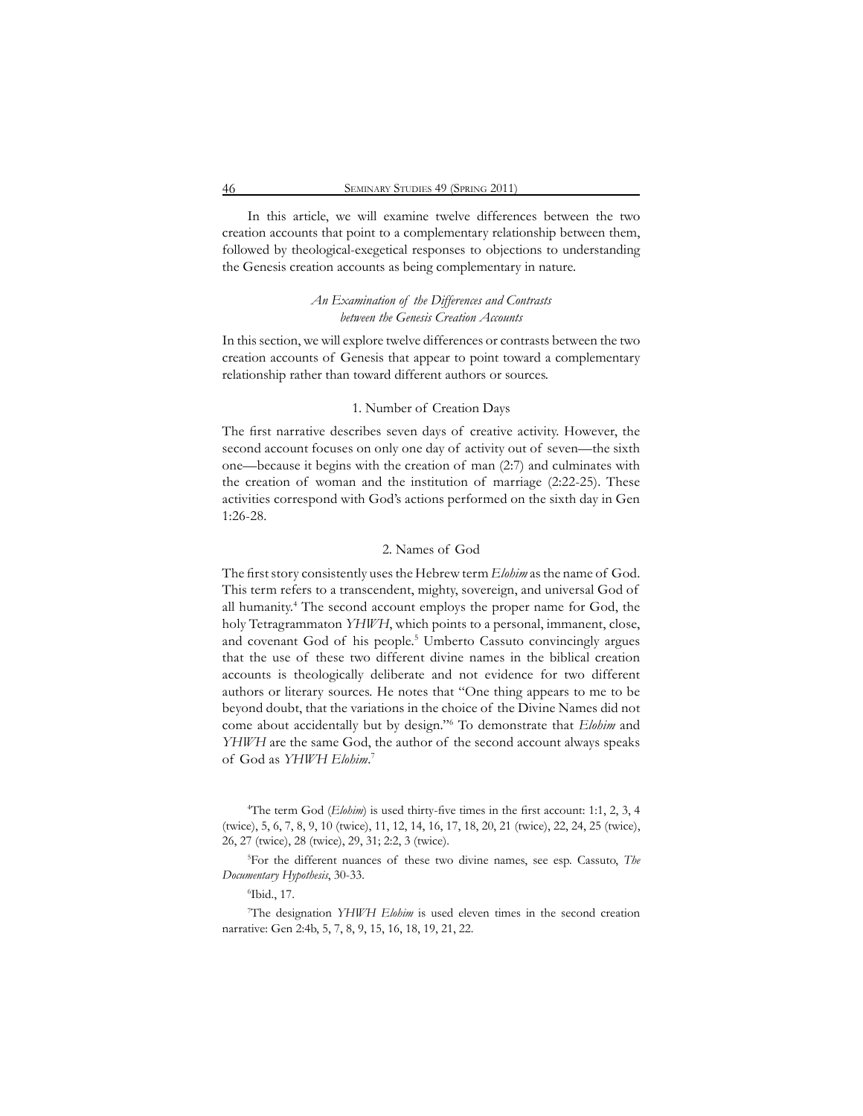In this article, we will examine twelve differences between the two creation accounts that point to a complementary relationship between them, followed by theological-exegetical responses to objections to understanding the Genesis creation accounts as being complementary in nature.

# *An Examination of the Differences and Contrasts between the Genesis Creation Accounts*

In this section, we will explore twelve differences or contrasts between the two creation accounts of Genesis that appear to point toward a complementary relationship rather than toward different authors or sources.

### 1. Number of Creation Days

The first narrative describes seven days of creative activity. However, the second account focuses on only one day of activity out of seven—the sixth one—because it begins with the creation of man (2:7) and culminates with the creation of woman and the institution of marriage (2:22-25). These activities correspond with God's actions performed on the sixth day in Gen 1:26-28.

### 2. Names of God

The first story consistently uses the Hebrew term *Elohim* as the name of God. This term refers to a transcendent, mighty, sovereign, and universal God of all humanity.<sup>4</sup> The second account employs the proper name for God, the holy Tetragrammaton *YHWH*, which points to a personal, immanent, close, and covenant God of his people.<sup>5</sup> Umberto Cassuto convincingly argues that the use of these two different divine names in the biblical creation accounts is theologically deliberate and not evidence for two different authors or literary sources. He notes that "One thing appears to me to be beyond doubt, that the variations in the choice of the Divine Names did not come about accidentally but by design."6 To demonstrate that *Elohim* and *YHWH* are the same God, the author of the second account always speaks of God as *YHWH Elohim*. 7

4 The term God (*Elohim*) is used thirty-five times in the first account: 1:1, 2, 3, 4 (twice), 5, 6, 7, 8, 9, 10 (twice), 11, 12, 14, 16, 17, 18, 20, 21 (twice), 22, 24, 25 (twice), 26, 27 (twice), 28 (twice), 29, 31; 2:2, 3 (twice).

5 For the different nuances of these two divine names, see esp. Cassuto, *The Documentary Hypothesis*, 30-33.

6 Ibid., 17.

7 The designation *YHWH Elohim* is used eleven times in the second creation narrative: Gen 2:4b, 5, 7, 8, 9, 15, 16, 18, 19, 21, 22.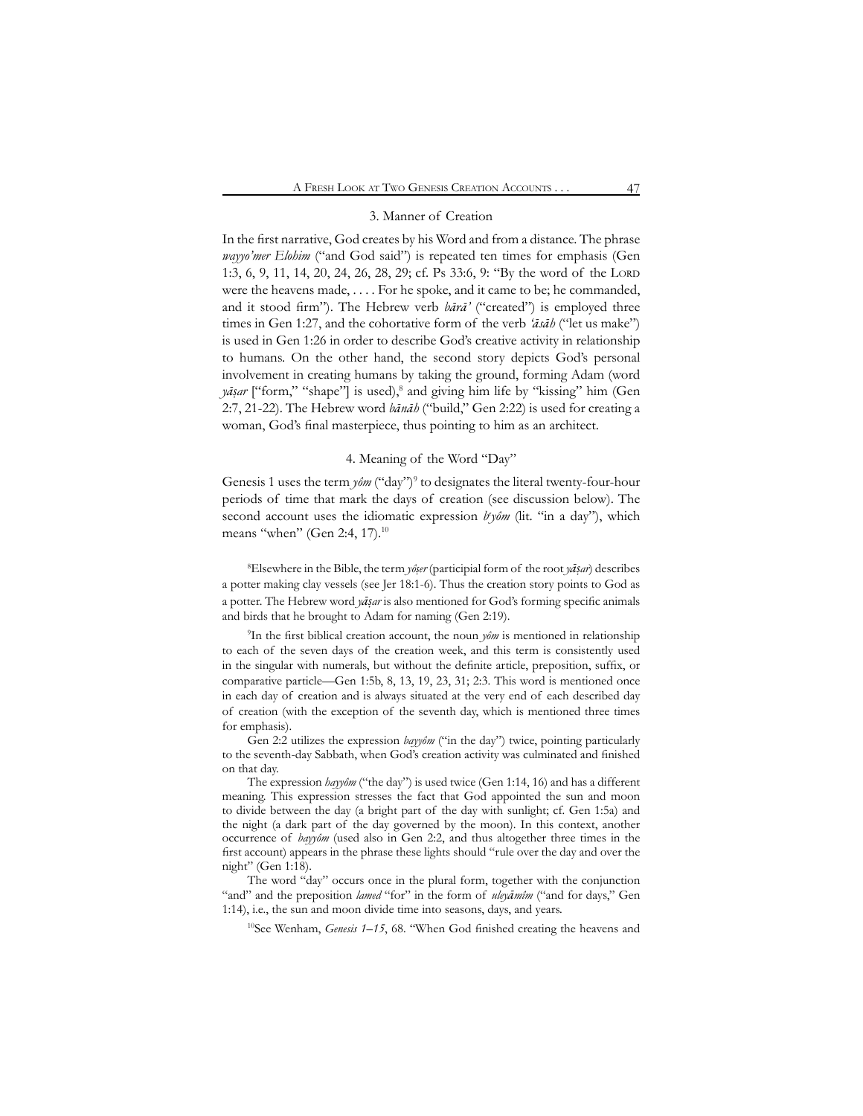### 3. Manner of Creation

In the first narrative, God creates by his Word and from a distance. The phrase *wayyo'mer Elohim* ("and God said") is repeated ten times for emphasis (Gen 1:3, 6, 9, 11, 14, 20, 24, 26, 28, 29; cf. Ps 33:6, 9: "By the word of the Lord were the heavens made, . . . . For he spoke, and it came to be; he commanded, and it stood firm"). The Hebrew verb *bārā'* ("created") is employed three times in Gen 1:27, and the cohortative form of the verb *'āsāh* ("let us make") is used in Gen 1:26 in order to describe God's creative activity in relationship to humans. On the other hand, the second story depicts God's personal involvement in creating humans by taking the ground, forming Adam (word *yāṣar* ["form," "shape"] is used),8 and giving him life by "kissing" him (Gen 2:7, 21-22). The Hebrew word *bānāh* ("build," Gen 2:22) is used for creating a woman, God's final masterpiece, thus pointing to him as an architect.

### 4. Meaning of the Word "Day"

Genesis 1 uses the term  $y \partial m$  ("day")<sup>9</sup> to designates the literal twenty-four-hour periods of time that mark the days of creation (see discussion below). The second account uses the idiomatic expression *byôm* (lit. "in a day"), which means "when" (Gen 2:4, 17).<sup>10</sup>

8 Elsewhere in the Bible, the term *yôṣer* (participial form of the root *yāṣar*) describes a potter making clay vessels (see Jer 18:1-6). Thus the creation story points to God as a potter. The Hebrew word *yāṣar* is also mentioned for God's forming specific animals and birds that he brought to Adam for naming (Gen 2:19).

9 In the first biblical creation account, the noun *yôm* is mentioned in relationship to each of the seven days of the creation week, and this term is consistently used in the singular with numerals, but without the definite article, preposition, suffix, or comparative particle—Gen 1:5b, 8, 13, 19, 23, 31; 2:3. This word is mentioned once in each day of creation and is always situated at the very end of each described day of creation (with the exception of the seventh day, which is mentioned three times for emphasis).

Gen 2:2 utilizes the expression *bayyôm* ("in the day") twice, pointing particularly to the seventh-day Sabbath, when God's creation activity was culminated and finished on that day.

The expression *hayyôm* ("the day") is used twice (Gen 1:14, 16) and has a different meaning. This expression stresses the fact that God appointed the sun and moon to divide between the day (a bright part of the day with sunlight; cf. Gen 1:5a) and the night (a dark part of the day governed by the moon). In this context, another occurrence of *bayyôm* (used also in Gen 2:2, and thus altogether three times in the first account) appears in the phrase these lights should "rule over the day and over the night" (Gen 1:18).

The word "day" occurs once in the plural form, together with the conjunction "and" and the preposition *lamed* "for" in the form of *uleyāmîm* ("and for days," Gen 1:14), i.e., the sun and moon divide time into seasons, days, and years.

<sup>10</sup>See Wenham, *Genesis 1–15*, 68. "When God finished creating the heavens and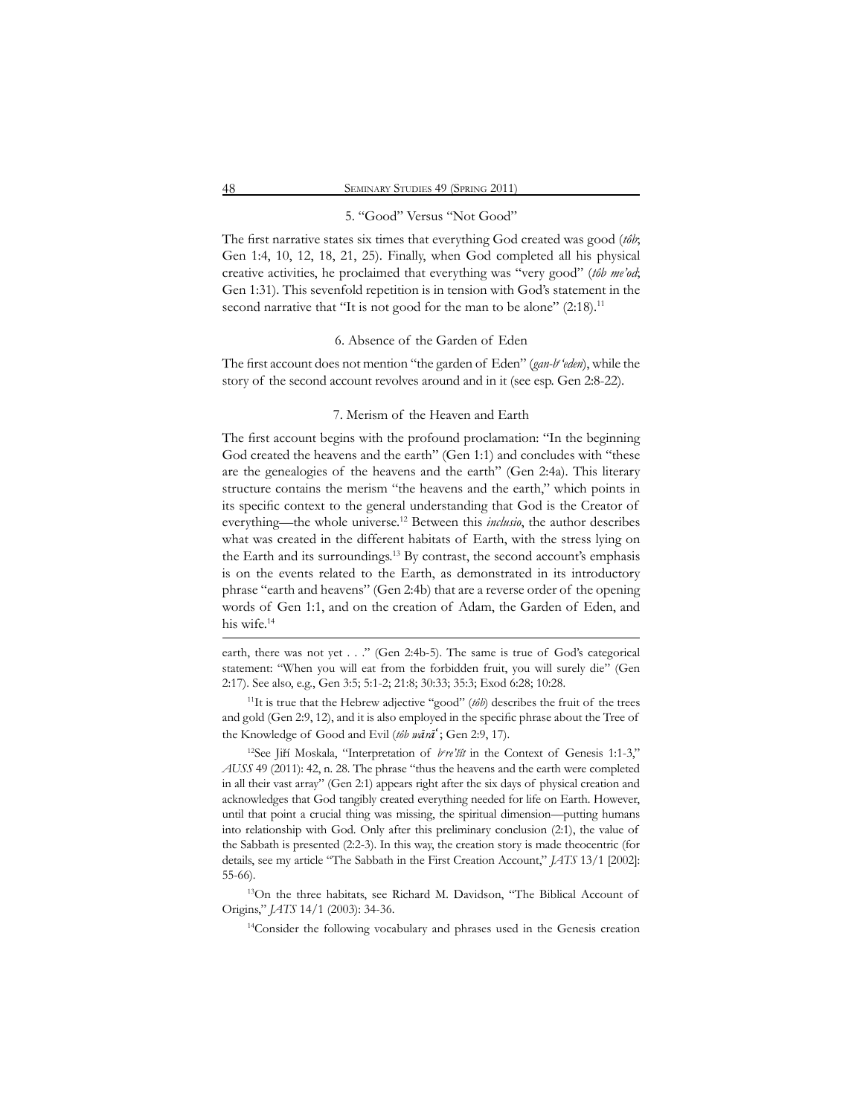### 5. "Good" Versus "Not Good"

The first narrative states six times that everything God created was good (*tôb*; Gen 1:4, 10, 12, 18, 21, 25). Finally, when God completed all his physical creative activities, he proclaimed that everything was "very good" (*tôb me'od*; Gen 1:31). This sevenfold repetition is in tension with God's statement in the second narrative that "It is not good for the man to be alone" (2:18).<sup>11</sup>

### 6. Absence of the Garden of Eden

The first account does not mention "the garden of Eden" (*gan-b'eden*), while the story of the second account revolves around and in it (see esp. Gen 2:8-22).

#### 7. Merism of the Heaven and Earth

The first account begins with the profound proclamation: "In the beginning God created the heavens and the earth" (Gen 1:1) and concludes with "these are the genealogies of the heavens and the earth" (Gen 2:4a). This literary structure contains the merism "the heavens and the earth," which points in its specific context to the general understanding that God is the Creator of everything—the whole universe.12 Between this *inclusio*, the author describes what was created in the different habitats of Earth, with the stress lying on the Earth and its surroundings.13 By contrast, the second account's emphasis is on the events related to the Earth, as demonstrated in its introductory phrase "earth and heavens" (Gen 2:4b) that are a reverse order of the opening words of Gen 1:1, and on the creation of Adam, the Garden of Eden, and his wife.<sup>14</sup>

earth, there was not yet . . ." (Gen 2:4b-5). The same is true of God's categorical statement: "When you will eat from the forbidden fruit, you will surely die" (Gen 2:17). See also, e.g., Gen 3:5; 5:1-2; 21:8; 30:33; 35:3; Exod 6:28; 10:28.

<sup>11</sup>It is true that the Hebrew adjective "good" (*tôb*) describes the fruit of the trees and gold (Gen 2:9, 12), and it is also employed in the specific phrase about the Tree of the Knowledge of Good and Evil (*tôb wārā'* ; Gen 2:9, 17).

<sup>12</sup>See Jiří Moskala, "Interpretation of *b're'šît* in the Context of Genesis 1:1-3," *AUSS* 49 (2011): 42, n. 28. The phrase "thus the heavens and the earth were completed in all their vast array" (Gen 2:1) appears right after the six days of physical creation and acknowledges that God tangibly created everything needed for life on Earth. However, until that point a crucial thing was missing, the spiritual dimension—putting humans into relationship with God. Only after this preliminary conclusion (2:1), the value of the Sabbath is presented (2:2-3). In this way, the creation story is made theocentric (for details, see my article "The Sabbath in the First Creation Account," *JATS* 13/1 [2002]: 55-66).

13On the three habitats, see Richard M. Davidson, "The Biblical Account of Origins," *JATS* 14/1 (2003): 34-36.

14Consider the following vocabulary and phrases used in the Genesis creation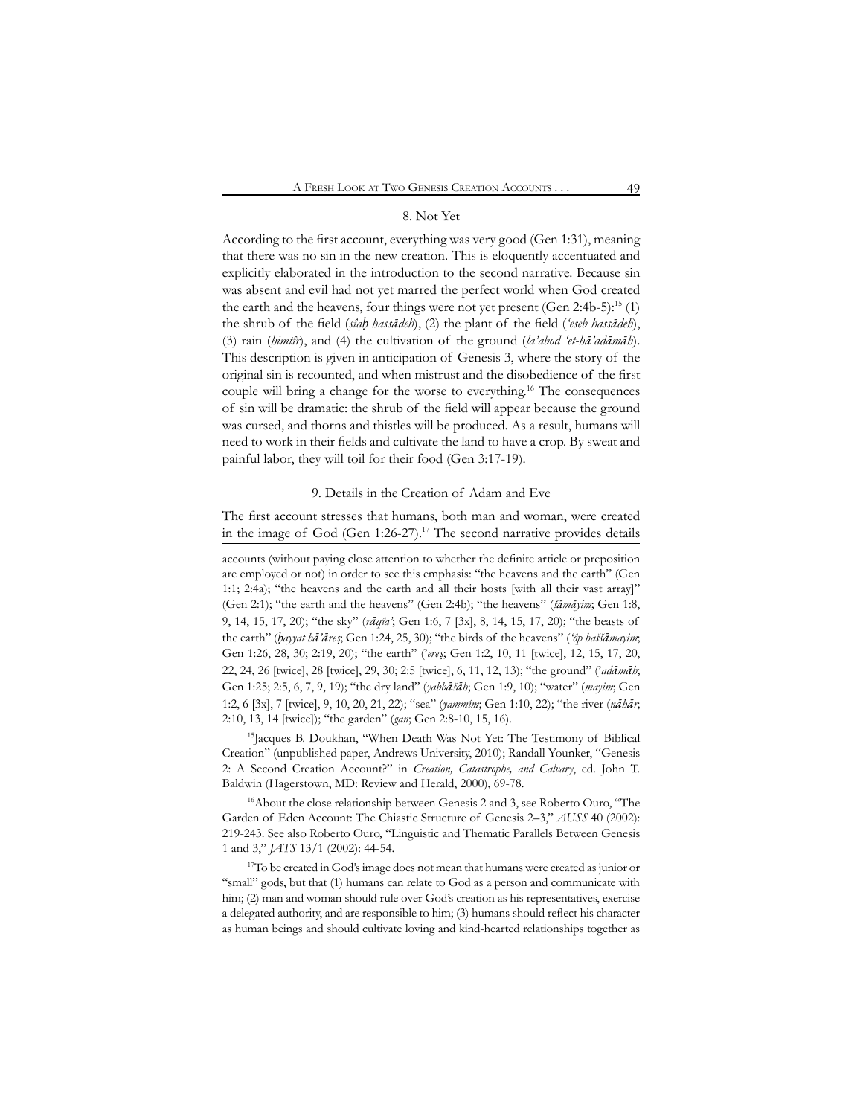### 8. Not Yet

According to the first account, everything was very good (Gen 1:31), meaning that there was no sin in the new creation. This is eloquently accentuated and explicitly elaborated in the introduction to the second narrative. Because sin was absent and evil had not yet marred the perfect world when God created the earth and the heavens, four things were not yet present (Gen 2:4b-5):<sup>15</sup> (1) the shrub of the field (*sîaḥ hassādeh*), (2) the plant of the field (*'eseb hassādeh*), (3) rain (*himtîr*), and (4) the cultivation of the ground (*la'abod 'et-hā'adāmāh*). This description is given in anticipation of Genesis 3, where the story of the original sin is recounted, and when mistrust and the disobedience of the first couple will bring a change for the worse to everything.16 The consequences of sin will be dramatic: the shrub of the field will appear because the ground was cursed, and thorns and thistles will be produced. As a result, humans will need to work in their fields and cultivate the land to have a crop. By sweat and painful labor, they will toil for their food (Gen 3:17-19).

### 9. Details in the Creation of Adam and Eve

The first account stresses that humans, both man and woman, were created in the image of God (Gen  $1:26-27$ ).<sup>17</sup> The second narrative provides details

accounts (without paying close attention to whether the definite article or preposition are employed or not) in order to see this emphasis: "the heavens and the earth" (Gen 1:1; 2:4a); "the heavens and the earth and all their hosts [with all their vast array]" (Gen 2:1); "the earth and the heavens" (Gen 2:4b); "the heavens" (*šāmāyim*; Gen 1:8, 9, 14, 15, 17, 20); "the sky" (*rāqîa'*; Gen 1:6, 7 [3x], 8, 14, 15, 17, 20); "the beasts of the earth" (*ḥayyat hā'āreṣ*; Gen 1:24, 25, 30); "the birds of the heavens" (*'ôp haššāmayim*; Gen 1:26, 28, 30; 2:19, 20); "the earth" ('*ereṣ*; Gen 1:2, 10, 11 [twice], 12, 15, 17, 20, 22, 24, 26 [twice], 28 [twice], 29, 30; 2:5 [twice], 6, 11, 12, 13); "the ground" ('*adāmāh*; Gen 1:25; 2:5, 6, 7, 9, 19); "the dry land" (*yabbāšāh*; Gen 1:9, 10); "water" (*mayim*; Gen 1:2, 6 [3x], 7 [twice], 9, 10, 20, 21, 22); "sea" (*yammîm*; Gen 1:10, 22); "the river (*nāhār*; 2:10, 13, 14 [twice]); "the garden" (*gan*; Gen 2:8-10, 15, 16).

<sup>15</sup>Jacques B. Doukhan, "When Death Was Not Yet: The Testimony of Biblical Creation" (unpublished paper, Andrews University, 2010); Randall Younker, "Genesis 2: A Second Creation Account?" in *Creation, Catastrophe, and Calvary*, ed. John T. Baldwin (Hagerstown, MD: Review and Herald, 2000), 69-78.

16About the close relationship between Genesis 2 and 3, see Roberto Ouro, "The Garden of Eden Account: The Chiastic Structure of Genesis 2–3," *AUSS* 40 (2002): 219-243. See also Roberto Ouro, "Linguistic and Thematic Parallels Between Genesis 1 and 3," *JATS* 13/1 (2002): 44-54.

<sup>17</sup>To be created in God's image does not mean that humans were created as junior or "small" gods, but that (1) humans can relate to God as a person and communicate with him; (2) man and woman should rule over God's creation as his representatives, exercise a delegated authority, and are responsible to him; (3) humans should reflect his character as human beings and should cultivate loving and kind-hearted relationships together as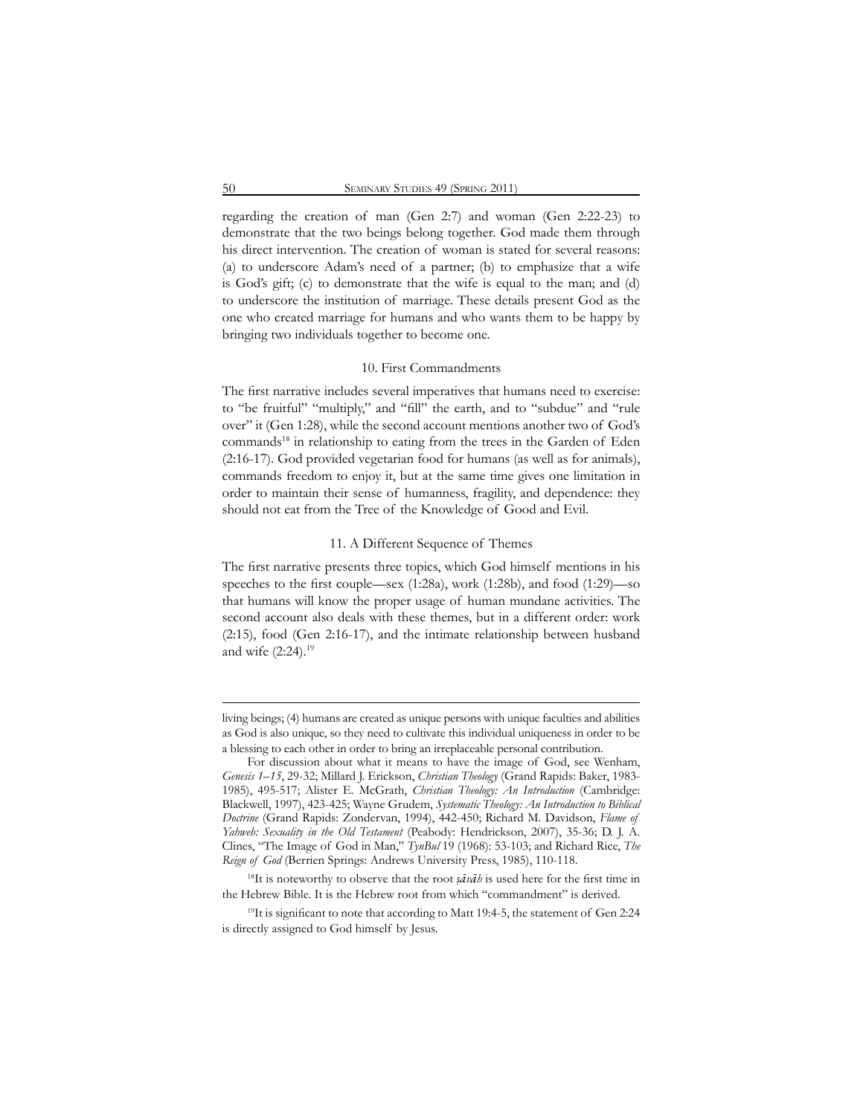regarding the creation of man (Gen 2:7) and woman (Gen 2:22-23) to demonstrate that the two beings belong together. God made them through his direct intervention. The creation of woman is stated for several reasons: (a) to underscore Adam's need of a partner; (b) to emphasize that a wife is God's gift; (c) to demonstrate that the wife is equal to the man; and (d) to underscore the institution of marriage. These details present God as the one who created marriage for humans and who wants them to be happy by bringing two individuals together to become one.

#### 10. First Commandments

The first narrative includes several imperatives that humans need to exercise: to "be fruitful" "multiply," and "fill" the earth, and to "subdue" and "rule over" it (Gen 1:28), while the second account mentions another two of God's commands<sup>18</sup> in relationship to eating from the trees in the Garden of Eden (2:16-17). God provided vegetarian food for humans (as well as for animals), commands freedom to enjoy it, but at the same time gives one limitation in order to maintain their sense of humanness, fragility, and dependence: they should not eat from the Tree of the Knowledge of Good and Evil.

### 11. A Different Sequence of Themes

The first narrative presents three topics, which God himself mentions in his speeches to the first couple—sex  $(1:28a)$ , work  $(1:28b)$ , and food  $(1:29)$ —so that humans will know the proper usage of human mundane activities. The second account also deals with these themes, but in a different order: work (2:15), food (Gen 2:16-17), and the intimate relationship between husband and wife (2:24).19

living beings; (4) humans are created as unique persons with unique faculties and abilities as God is also unique, so they need to cultivate this individual uniqueness in order to be a blessing to each other in order to bring an irreplaceable personal contribution.

For discussion about what it means to have the image of God, see Wenham, *Genesis 1–15*, 29-32; Millard J. Erickson, *Christian Theology* (Grand Rapids: Baker, 1983- 1985), 495-517; Alister E. McGrath, *Christian Theology: An Introduction* (Cambridge: Blackwell, 1997), 423-425; Wayne Grudem, *Systematic Theology: An Introduction to Biblical Doctrine* (Grand Rapids: Zondervan, 1994), 442-450; Richard M. Davidson, *Flame of Yahweh: Sexuality in the Old Testament* (Peabody: Hendrickson, 2007), 35-36; D. J. A. Clines, "The Image of God in Man," *TynBul* 19 (1968): 53-103; and Richard Rice, *The Reign of God* (Berrien Springs: Andrews University Press, 1985), 110-118.

<sup>&</sup>lt;sup>18</sup>It is noteworthy to observe that the root  $\sinh i$  is used here for the first time in the Hebrew Bible. It is the Hebrew root from which "commandment" is derived.

<sup>&</sup>lt;sup>19</sup>It is significant to note that according to Matt 19:4-5, the statement of Gen 2:24 is directly assigned to God himself by Jesus.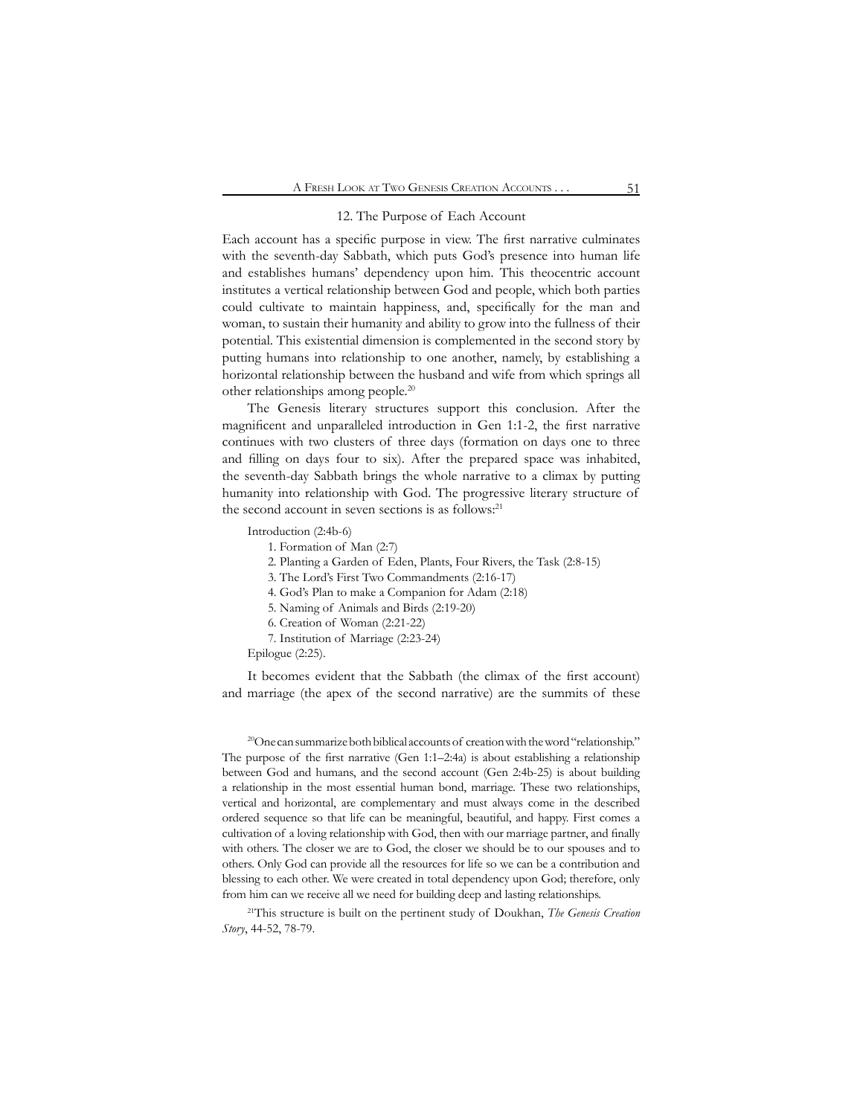### 12. The Purpose of Each Account

Each account has a specific purpose in view. The first narrative culminates with the seventh-day Sabbath, which puts God's presence into human life and establishes humans' dependency upon him. This theocentric account institutes a vertical relationship between God and people, which both parties could cultivate to maintain happiness, and, specifically for the man and woman, to sustain their humanity and ability to grow into the fullness of their potential. This existential dimension is complemented in the second story by putting humans into relationship to one another, namely, by establishing a horizontal relationship between the husband and wife from which springs all other relationships among people.20

The Genesis literary structures support this conclusion. After the magnificent and unparalleled introduction in Gen 1:1-2, the first narrative continues with two clusters of three days (formation on days one to three and filling on days four to six). After the prepared space was inhabited, the seventh-day Sabbath brings the whole narrative to a climax by putting humanity into relationship with God. The progressive literary structure of the second account in seven sections is as follows:<sup>21</sup>

Introduction (2:4b-6)

1. Formation of Man (2:7)

2. Planting a Garden of Eden, Plants, Four Rivers, the Task (2:8-15)

3. The Lord's First Two Commandments (2:16-17)

4. God's Plan to make a Companion for Adam (2:18)

5. Naming of Animals and Birds (2:19-20)

6. Creation of Woman (2:21-22)

7. Institution of Marriage (2:23-24)

Epilogue (2:25).

It becomes evident that the Sabbath (the climax of the first account) and marriage (the apex of the second narrative) are the summits of these

<sup>20</sup>One can summarize both biblical accounts of creation with the word "relationship." The purpose of the first narrative (Gen 1:1–2:4a) is about establishing a relationship between God and humans, and the second account (Gen 2:4b-25) is about building a relationship in the most essential human bond, marriage. These two relationships, vertical and horizontal, are complementary and must always come in the described ordered sequence so that life can be meaningful, beautiful, and happy. First comes a cultivation of a loving relationship with God, then with our marriage partner, and finally with others. The closer we are to God, the closer we should be to our spouses and to others. Only God can provide all the resources for life so we can be a contribution and blessing to each other. We were created in total dependency upon God; therefore, only from him can we receive all we need for building deep and lasting relationships.

21This structure is built on the pertinent study of Doukhan, *The Genesis Creation Story*, 44-52, 78-79.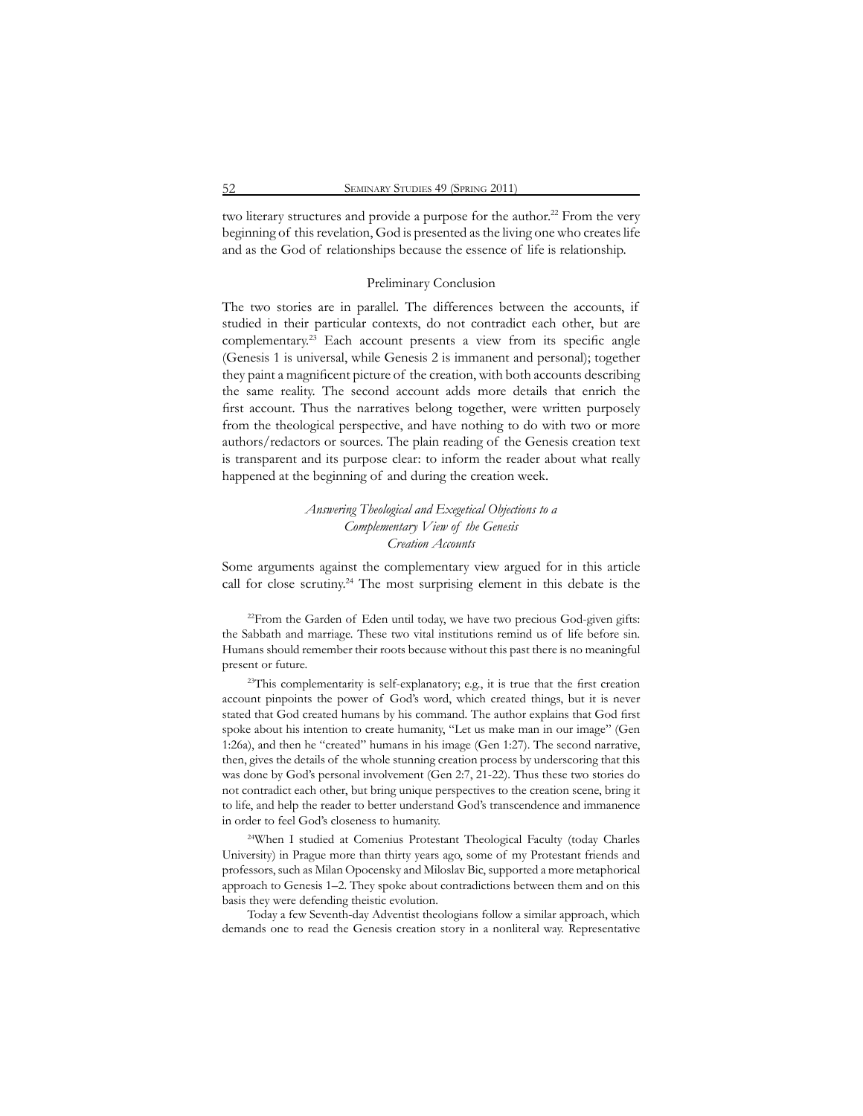two literary structures and provide a purpose for the author.<sup>22</sup> From the very beginning of this revelation, God is presented as the living one who creates life and as the God of relationships because the essence of life is relationship.

## Preliminary Conclusion

The two stories are in parallel. The differences between the accounts, if studied in their particular contexts, do not contradict each other, but are complementary.<sup>23</sup> Each account presents a view from its specific angle (Genesis 1 is universal, while Genesis 2 is immanent and personal); together they paint a magnificent picture of the creation, with both accounts describing the same reality. The second account adds more details that enrich the first account. Thus the narratives belong together, were written purposely from the theological perspective, and have nothing to do with two or more authors/redactors or sources. The plain reading of the Genesis creation text is transparent and its purpose clear: to inform the reader about what really happened at the beginning of and during the creation week.

# *Answering Theological and Exegetical Objections to a Complementary View of the Genesis Creation Accounts*

Some arguments against the complementary view argued for in this article call for close scrutiny.<sup>24</sup> The most surprising element in this debate is the

<sup>22</sup>From the Garden of Eden until today, we have two precious God-given gifts: the Sabbath and marriage. These two vital institutions remind us of life before sin. Humans should remember their roots because without this past there is no meaningful present or future.

 $2^{3}$ This complementarity is self-explanatory; e.g., it is true that the first creation account pinpoints the power of God's word, which created things, but it is never stated that God created humans by his command. The author explains that God first spoke about his intention to create humanity, "Let us make man in our image" (Gen 1:26a), and then he "created" humans in his image (Gen 1:27). The second narrative, then, gives the details of the whole stunning creation process by underscoring that this was done by God's personal involvement (Gen 2:7, 21-22). Thus these two stories do not contradict each other, but bring unique perspectives to the creation scene, bring it to life, and help the reader to better understand God's transcendence and immanence in order to feel God's closeness to humanity.

<sup>24</sup>When I studied at Comenius Protestant Theological Faculty (today Charles University) in Prague more than thirty years ago, some of my Protestant friends and professors, such as Milan Opocensky and Miloslav Bic, supported a more metaphorical approach to Genesis 1–2. They spoke about contradictions between them and on this basis they were defending theistic evolution.

Today a few Seventh-day Adventist theologians follow a similar approach, which demands one to read the Genesis creation story in a nonliteral way. Representative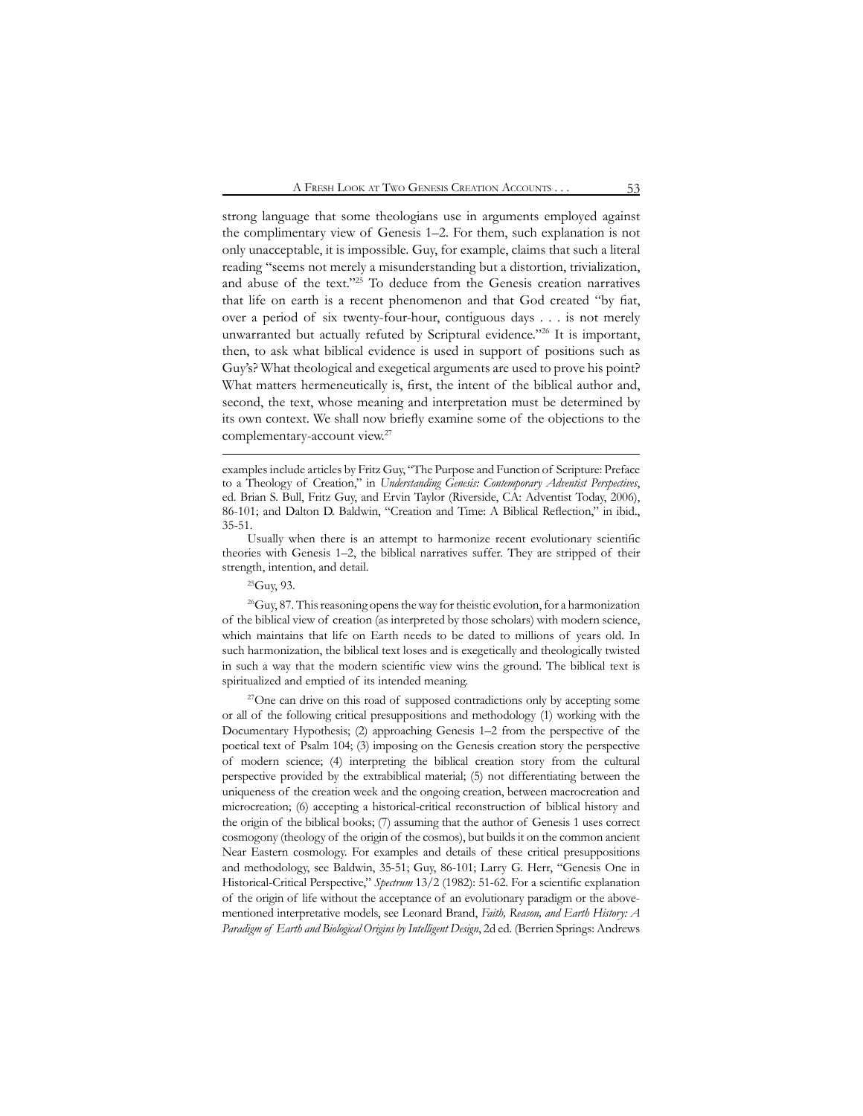strong language that some theologians use in arguments employed against the complimentary view of Genesis 1–2. For them, such explanation is not only unacceptable, it is impossible. Guy, for example, claims that such a literal reading "seems not merely a misunderstanding but a distortion, trivialization, and abuse of the text."25 To deduce from the Genesis creation narratives that life on earth is a recent phenomenon and that God created "by fiat, over a period of six twenty-four-hour, contiguous days . . . is not merely unwarranted but actually refuted by Scriptural evidence."26 It is important, then, to ask what biblical evidence is used in support of positions such as Guy's? What theological and exegetical arguments are used to prove his point? What matters hermeneutically is, first, the intent of the biblical author and, second, the text, whose meaning and interpretation must be determined by its own context. We shall now briefly examine some of the objections to the complementary-account view.<sup>27</sup>

# 25Guy, 93.

<sup>26</sup>Guy, 87. This reasoning opens the way for theistic evolution, for a harmonization of the biblical view of creation (as interpreted by those scholars) with modern science, which maintains that life on Earth needs to be dated to millions of years old. In such harmonization, the biblical text loses and is exegetically and theologically twisted in such a way that the modern scientific view wins the ground. The biblical text is spiritualized and emptied of its intended meaning.

<sup>27</sup>One can drive on this road of supposed contradictions only by accepting some or all of the following critical presuppositions and methodology (1) working with the Documentary Hypothesis; (2) approaching Genesis 1–2 from the perspective of the poetical text of Psalm 104; (3) imposing on the Genesis creation story the perspective of modern science; (4) interpreting the biblical creation story from the cultural perspective provided by the extrabiblical material; (5) not differentiating between the uniqueness of the creation week and the ongoing creation, between macrocreation and microcreation; (6) accepting a historical-critical reconstruction of biblical history and the origin of the biblical books; (7) assuming that the author of Genesis 1 uses correct cosmogony (theology of the origin of the cosmos), but builds it on the common ancient Near Eastern cosmology. For examples and details of these critical presuppositions and methodology, see Baldwin, 35-51; Guy, 86-101; Larry G. Herr, "Genesis One in Historical-Critical Perspective," *Spectrum* 13/2 (1982): 51-62. For a scientific explanation of the origin of life without the acceptance of an evolutionary paradigm or the abovementioned interpretative models, see Leonard Brand, *Faith, Reason, and Earth History: A Paradigm of Earth and Biological Origins by Intelligent Design*, 2d ed. (Berrien Springs: Andrews

examples include articles by Fritz Guy, "The Purpose and Function of Scripture: Preface to a Theology of Creation," in *Understanding Genesis: Contemporary Adventist Perspectives*, ed. Brian S. Bull, Fritz Guy, and Ervin Taylor (Riverside, CA: Adventist Today, 2006), 86-101; and Dalton D. Baldwin, "Creation and Time: A Biblical Reflection," in ibid., 35-51.

Usually when there is an attempt to harmonize recent evolutionary scientific theories with Genesis 1–2, the biblical narratives suffer. They are stripped of their strength, intention, and detail.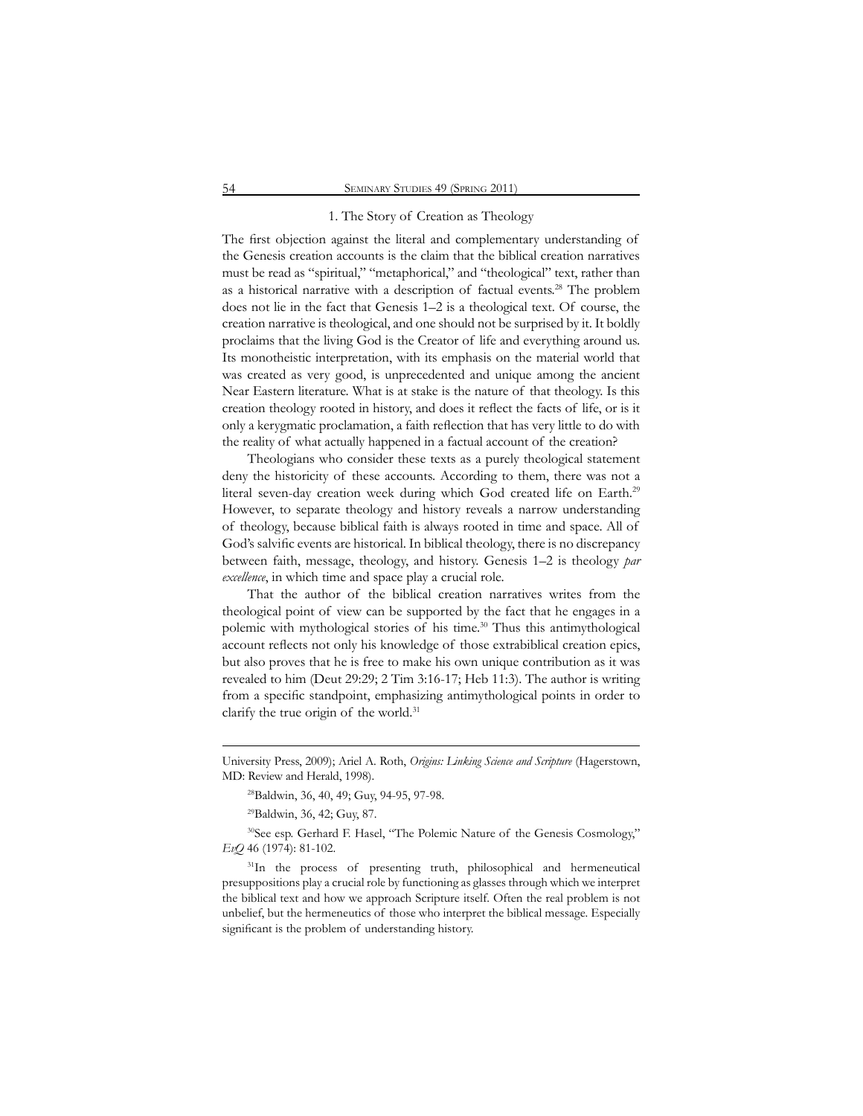### 1. The Story of Creation as Theology

The first objection against the literal and complementary understanding of the Genesis creation accounts is the claim that the biblical creation narratives must be read as "spiritual," "metaphorical," and "theological" text, rather than as a historical narrative with a description of factual events.28 The problem does not lie in the fact that Genesis 1–2 is a theological text. Of course, the creation narrative is theological, and one should not be surprised by it. It boldly proclaims that the living God is the Creator of life and everything around us. Its monotheistic interpretation, with its emphasis on the material world that was created as very good, is unprecedented and unique among the ancient Near Eastern literature. What is at stake is the nature of that theology. Is this creation theology rooted in history, and does it reflect the facts of life, or is it only a kerygmatic proclamation, a faith reflection that has very little to do with the reality of what actually happened in a factual account of the creation?

Theologians who consider these texts as a purely theological statement deny the historicity of these accounts. According to them, there was not a literal seven-day creation week during which God created life on Earth.<sup>29</sup> However, to separate theology and history reveals a narrow understanding of theology, because biblical faith is always rooted in time and space. All of God's salvific events are historical. In biblical theology, there is no discrepancy between faith, message, theology, and history. Genesis 1–2 is theology *par excellence*, in which time and space play a crucial role.

That the author of the biblical creation narratives writes from the theological point of view can be supported by the fact that he engages in a polemic with mythological stories of his time.<sup>30</sup> Thus this antimythological account reflects not only his knowledge of those extrabiblical creation epics, but also proves that he is free to make his own unique contribution as it was revealed to him (Deut 29:29; 2 Tim 3:16-17; Heb 11:3). The author is writing from a specific standpoint, emphasizing antimythological points in order to clarify the true origin of the world.<sup>31</sup>

29Baldwin, 36, 42; Guy, 87.

<sup>30</sup>See esp. Gerhard F. Hasel, "The Polemic Nature of the Genesis Cosmology," *EvQ* 46 (1974): 81-102.

<sup>31</sup>In the process of presenting truth, philosophical and hermeneutical presuppositions play a crucial role by functioning as glasses through which we interpret the biblical text and how we approach Scripture itself. Often the real problem is not unbelief, but the hermeneutics of those who interpret the biblical message. Especially significant is the problem of understanding history.

University Press, 2009); Ariel A. Roth, *Origins: Linking Science and Scripture* (Hagerstown, MD: Review and Herald, 1998).

<sup>&</sup>lt;sup>28</sup>Baldwin, 36, 40, 49; Guy, 94-95, 97-98.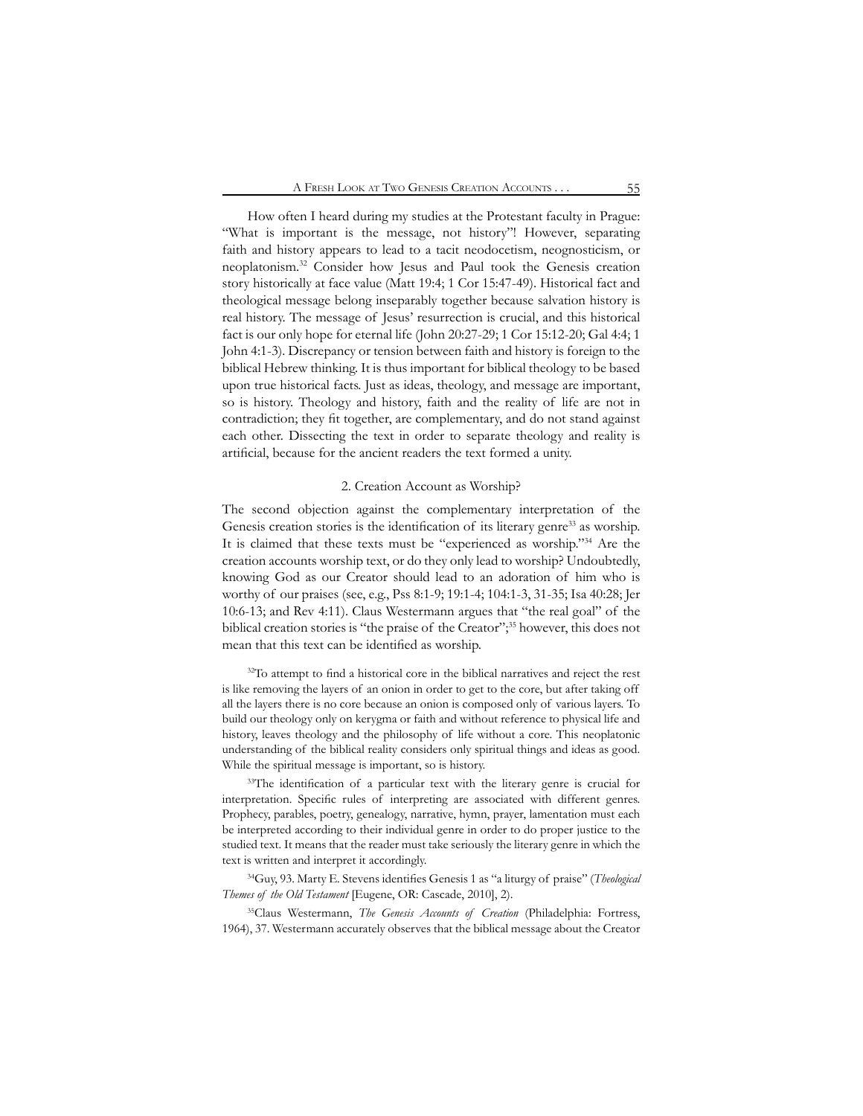How often I heard during my studies at the Protestant faculty in Prague: "What is important is the message, not history"! However, separating faith and history appears to lead to a tacit neodocetism, neognosticism, or neoplatonism.32 Consider how Jesus and Paul took the Genesis creation story historically at face value (Matt 19:4; 1 Cor 15:47-49). Historical fact and theological message belong inseparably together because salvation history is real history. The message of Jesus' resurrection is crucial, and this historical fact is our only hope for eternal life (John 20:27-29; 1 Cor 15:12-20; Gal 4:4; 1 John 4:1-3). Discrepancy or tension between faith and history is foreign to the biblical Hebrew thinking. It is thus important for biblical theology to be based upon true historical facts. Just as ideas, theology, and message are important, so is history. Theology and history, faith and the reality of life are not in contradiction; they fit together, are complementary, and do not stand against each other. Dissecting the text in order to separate theology and reality is artificial, because for the ancient readers the text formed a unity.

### 2. Creation Account as Worship?

The second objection against the complementary interpretation of the Genesis creation stories is the identification of its literary genre<sup>33</sup> as worship. It is claimed that these texts must be "experienced as worship."34 Are the creation accounts worship text, or do they only lead to worship? Undoubtedly, knowing God as our Creator should lead to an adoration of him who is worthy of our praises (see, e.g., Pss 8:1-9; 19:1-4; 104:1-3, 31-35; Isa 40:28; Jer 10:6-13; and Rev 4:11). Claus Westermann argues that "the real goal" of the biblical creation stories is "the praise of the Creator";<sup>35</sup> however, this does not mean that this text can be identified as worship.

<sup>32</sup>To attempt to find a historical core in the biblical narratives and reject the rest is like removing the layers of an onion in order to get to the core, but after taking off all the layers there is no core because an onion is composed only of various layers. To build our theology only on kerygma or faith and without reference to physical life and history, leaves theology and the philosophy of life without a core. This neoplatonic understanding of the biblical reality considers only spiritual things and ideas as good. While the spiritual message is important, so is history.

<sup>33</sup>The identification of a particular text with the literary genre is crucial for interpretation. Specific rules of interpreting are associated with different genres. Prophecy, parables, poetry, genealogy, narrative, hymn, prayer, lamentation must each be interpreted according to their individual genre in order to do proper justice to the studied text. It means that the reader must take seriously the literary genre in which the text is written and interpret it accordingly.

<sup>34</sup>Guy, 93. Marty E. Stevens identifies Genesis 1 as "a liturgy of praise" (*Theological Themes of the Old Testament* [Eugene, OR: Cascade, 2010], 2).

<sup>35</sup>Claus Westermann, *The Genesis Accounts of Creation* (Philadelphia: Fortress, 1964), 37. Westermann accurately observes that the biblical message about the Creator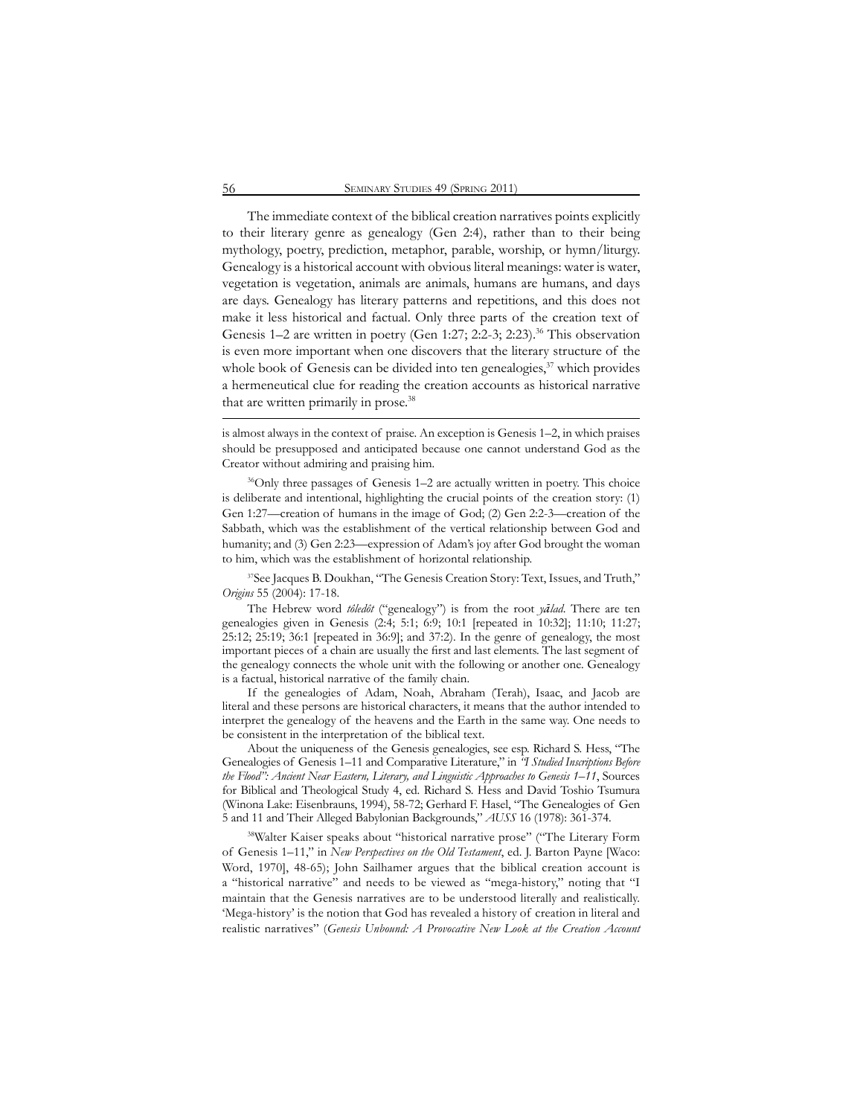The immediate context of the biblical creation narratives points explicitly to their literary genre as genealogy (Gen 2:4), rather than to their being mythology, poetry, prediction, metaphor, parable, worship, or hymn/liturgy. Genealogy is a historical account with obvious literal meanings: water is water, vegetation is vegetation, animals are animals, humans are humans, and days are days. Genealogy has literary patterns and repetitions, and this does not make it less historical and factual. Only three parts of the creation text of Genesis 1–2 are written in poetry (Gen 1:27; 2:2-3; 2:23).<sup>36</sup> This observation is even more important when one discovers that the literary structure of the whole book of Genesis can be divided into ten genealogies, $37$  which provides a hermeneutical clue for reading the creation accounts as historical narrative that are written primarily in prose.<sup>38</sup>

is almost always in the context of praise. An exception is Genesis 1–2, in which praises should be presupposed and anticipated because one cannot understand God as the Creator without admiring and praising him.

36Only three passages of Genesis 1–2 are actually written in poetry. This choice is deliberate and intentional, highlighting the crucial points of the creation story: (1) Gen 1:27—creation of humans in the image of God; (2) Gen 2:2-3—creation of the Sabbath, which was the establishment of the vertical relationship between God and humanity; and (3) Gen 2:23—expression of Adam's joy after God brought the woman to him, which was the establishment of horizontal relationship.

37See Jacques B. Doukhan, "The Genesis Creation Story: Text, Issues, and Truth," *Origins* 55 (2004): 17-18.

The Hebrew word *tôledôt* ("genealogy") is from the root *yālad*. There are ten genealogies given in Genesis (2:4; 5:1; 6:9; 10:1 [repeated in 10:32]; 11:10; 11:27; 25:12; 25:19; 36:1 [repeated in 36:9]; and 37:2). In the genre of genealogy, the most important pieces of a chain are usually the first and last elements. The last segment of the genealogy connects the whole unit with the following or another one. Genealogy is a factual, historical narrative of the family chain.

If the genealogies of Adam, Noah, Abraham (Terah), Isaac, and Jacob are literal and these persons are historical characters, it means that the author intended to interpret the genealogy of the heavens and the Earth in the same way. One needs to be consistent in the interpretation of the biblical text.

About the uniqueness of the Genesis genealogies, see esp. Richard S. Hess, "The Genealogies of Genesis 1–11 and Comparative Literature," in *"I Studied Inscriptions Before the Flood": Ancient Near Eastern, Literary, and Linguistic Approaches to Genesis 1–11*, Sources for Biblical and Theological Study 4, ed. Richard S. Hess and David Toshio Tsumura (Winona Lake: Eisenbrauns, 1994), 58-72; Gerhard F. Hasel, "The Genealogies of Gen 5 and 11 and Their Alleged Babylonian Backgrounds," *AUSS* 16 (1978): 361-374.

<sup>38</sup>Walter Kaiser speaks about "historical narrative prose" ("The Literary Form of Genesis 1–11," in *New Perspectives on the Old Testament*, ed. J. Barton Payne [Waco: Word, 1970], 48-65); John Sailhamer argues that the biblical creation account is a "historical narrative" and needs to be viewed as "mega-history," noting that "I maintain that the Genesis narratives are to be understood literally and realistically. 'Mega-history' is the notion that God has revealed a history of creation in literal and realistic narratives" (*Genesis Unbound: A Provocative New Look at the Creation Account*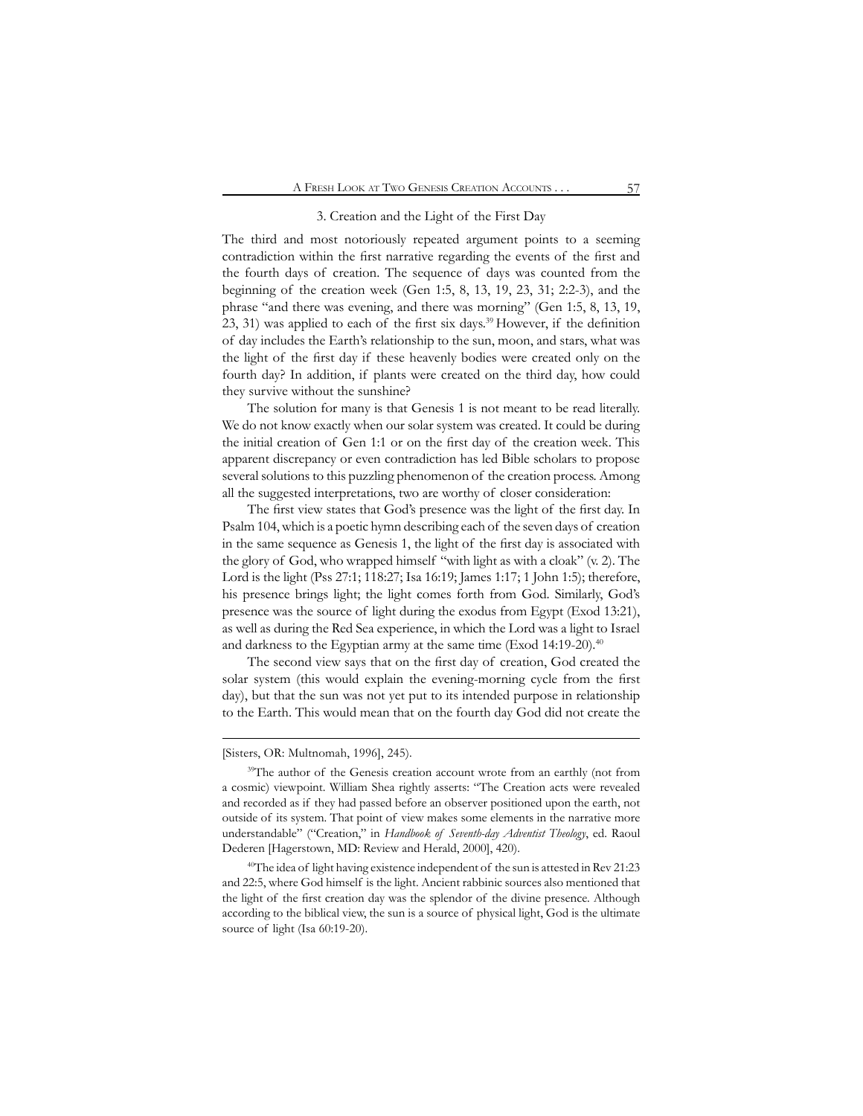### 3. Creation and the Light of the First Day

The third and most notoriously repeated argument points to a seeming contradiction within the first narrative regarding the events of the first and the fourth days of creation. The sequence of days was counted from the beginning of the creation week (Gen 1:5, 8, 13, 19, 23, 31; 2:2-3), and the phrase "and there was evening, and there was morning" (Gen 1:5, 8, 13, 19, 23, 31) was applied to each of the first six days.<sup>39</sup> However, if the definition of day includes the Earth's relationship to the sun, moon, and stars, what was the light of the first day if these heavenly bodies were created only on the fourth day? In addition, if plants were created on the third day, how could they survive without the sunshine?

The solution for many is that Genesis 1 is not meant to be read literally. We do not know exactly when our solar system was created. It could be during the initial creation of Gen 1:1 or on the first day of the creation week. This apparent discrepancy or even contradiction has led Bible scholars to propose several solutions to this puzzling phenomenon of the creation process. Among all the suggested interpretations, two are worthy of closer consideration:

The first view states that God's presence was the light of the first day. In Psalm 104, which is a poetic hymn describing each of the seven days of creation in the same sequence as Genesis 1, the light of the first day is associated with the glory of God, who wrapped himself "with light as with a cloak" (v. 2). The Lord is the light (Pss 27:1; 118:27; Isa 16:19; James 1:17; 1 John 1:5); therefore, his presence brings light; the light comes forth from God. Similarly, God's presence was the source of light during the exodus from Egypt (Exod 13:21), as well as during the Red Sea experience, in which the Lord was a light to Israel and darkness to the Egyptian army at the same time (Exod 14:19-20).<sup>40</sup>

The second view says that on the first day of creation, God created the solar system (this would explain the evening-morning cycle from the first day), but that the sun was not yet put to its intended purpose in relationship to the Earth. This would mean that on the fourth day God did not create the

<sup>[</sup>Sisters, OR: Multnomah, 1996], 245).

<sup>&</sup>lt;sup>39</sup>The author of the Genesis creation account wrote from an earthly (not from a cosmic) viewpoint. William Shea rightly asserts: "The Creation acts were revealed and recorded as if they had passed before an observer positioned upon the earth, not outside of its system. That point of view makes some elements in the narrative more understandable" ("Creation," in *Handbook of Seventh-day Adventist Theology*, ed. Raoul Dederen [Hagerstown, MD: Review and Herald, 2000], 420).

<sup>40</sup>The idea of light having existence independent of the sun is attested in Rev 21:23 and 22:5, where God himself is the light. Ancient rabbinic sources also mentioned that the light of the first creation day was the splendor of the divine presence. Although according to the biblical view, the sun is a source of physical light, God is the ultimate source of light (Isa 60:19-20).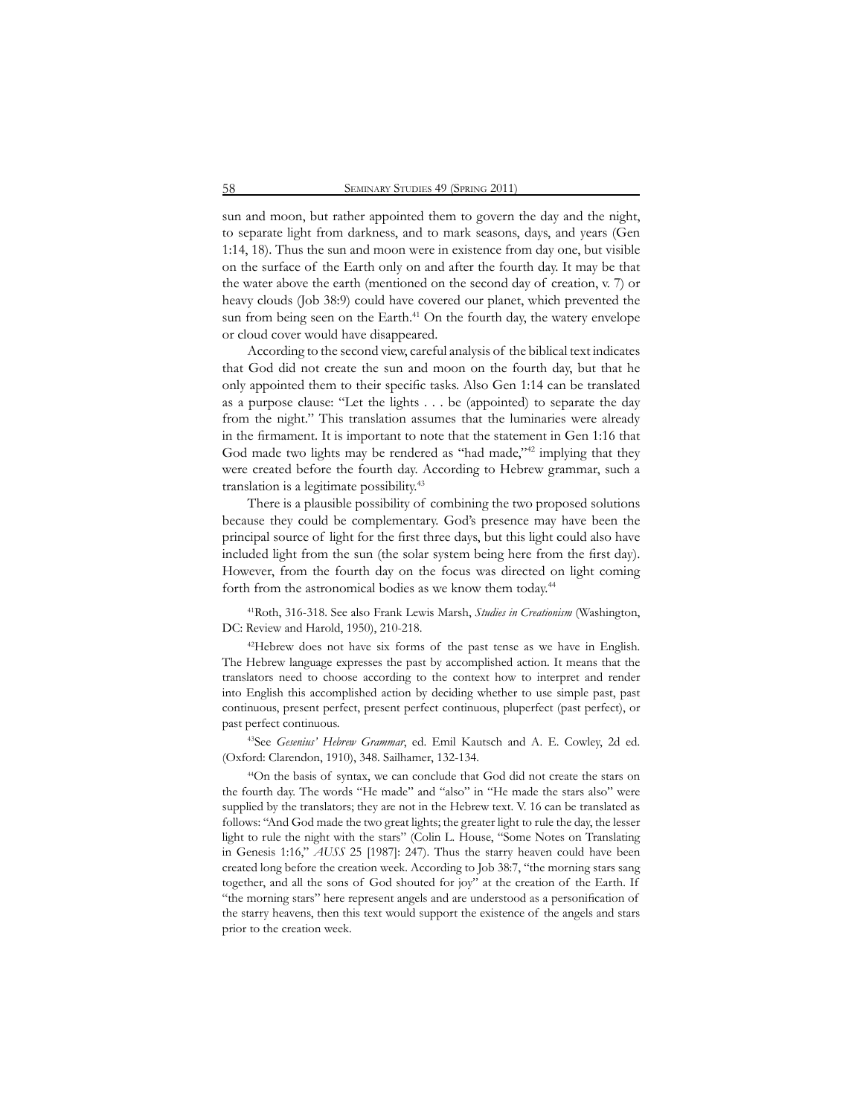sun and moon, but rather appointed them to govern the day and the night, to separate light from darkness, and to mark seasons, days, and years (Gen 1:14, 18). Thus the sun and moon were in existence from day one, but visible on the surface of the Earth only on and after the fourth day. It may be that the water above the earth (mentioned on the second day of creation, v. 7) or heavy clouds (Job 38:9) could have covered our planet, which prevented the sun from being seen on the Earth.<sup>41</sup> On the fourth day, the watery envelope or cloud cover would have disappeared.

According to the second view, careful analysis of the biblical text indicates that God did not create the sun and moon on the fourth day, but that he only appointed them to their specific tasks. Also Gen 1:14 can be translated as a purpose clause: "Let the lights . . . be (appointed) to separate the day from the night." This translation assumes that the luminaries were already in the firmament. It is important to note that the statement in Gen 1:16 that God made two lights may be rendered as "had made,"<sup>42</sup> implying that they were created before the fourth day. According to Hebrew grammar, such a translation is a legitimate possibility.43

There is a plausible possibility of combining the two proposed solutions because they could be complementary. God's presence may have been the principal source of light for the first three days, but this light could also have included light from the sun (the solar system being here from the first day). However, from the fourth day on the focus was directed on light coming forth from the astronomical bodies as we know them today.44

41Roth, 316-318. See also Frank Lewis Marsh, *Studies in Creationism* (Washington, DC: Review and Harold, 1950), 210-218.

<sup>42</sup>Hebrew does not have six forms of the past tense as we have in English. The Hebrew language expresses the past by accomplished action. It means that the translators need to choose according to the context how to interpret and render into English this accomplished action by deciding whether to use simple past, past continuous, present perfect, present perfect continuous, pluperfect (past perfect), or past perfect continuous.

43See *Gesenius' Hebrew Grammar*, ed. Emil Kautsch and A. E. Cowley, 2d ed. (Oxford: Clarendon, 1910), 348. Sailhamer, 132-134.

44On the basis of syntax, we can conclude that God did not create the stars on the fourth day. The words "He made" and "also" in "He made the stars also" were supplied by the translators; they are not in the Hebrew text. V. 16 can be translated as follows: "And God made the two great lights; the greater light to rule the day, the lesser light to rule the night with the stars" (Colin L. House, "Some Notes on Translating in Genesis 1:16," *AUSS* 25 [1987]: 247). Thus the starry heaven could have been created long before the creation week. According to Job 38:7, "the morning stars sang together, and all the sons of God shouted for joy" at the creation of the Earth. If "the morning stars" here represent angels and are understood as a personification of the starry heavens, then this text would support the existence of the angels and stars prior to the creation week.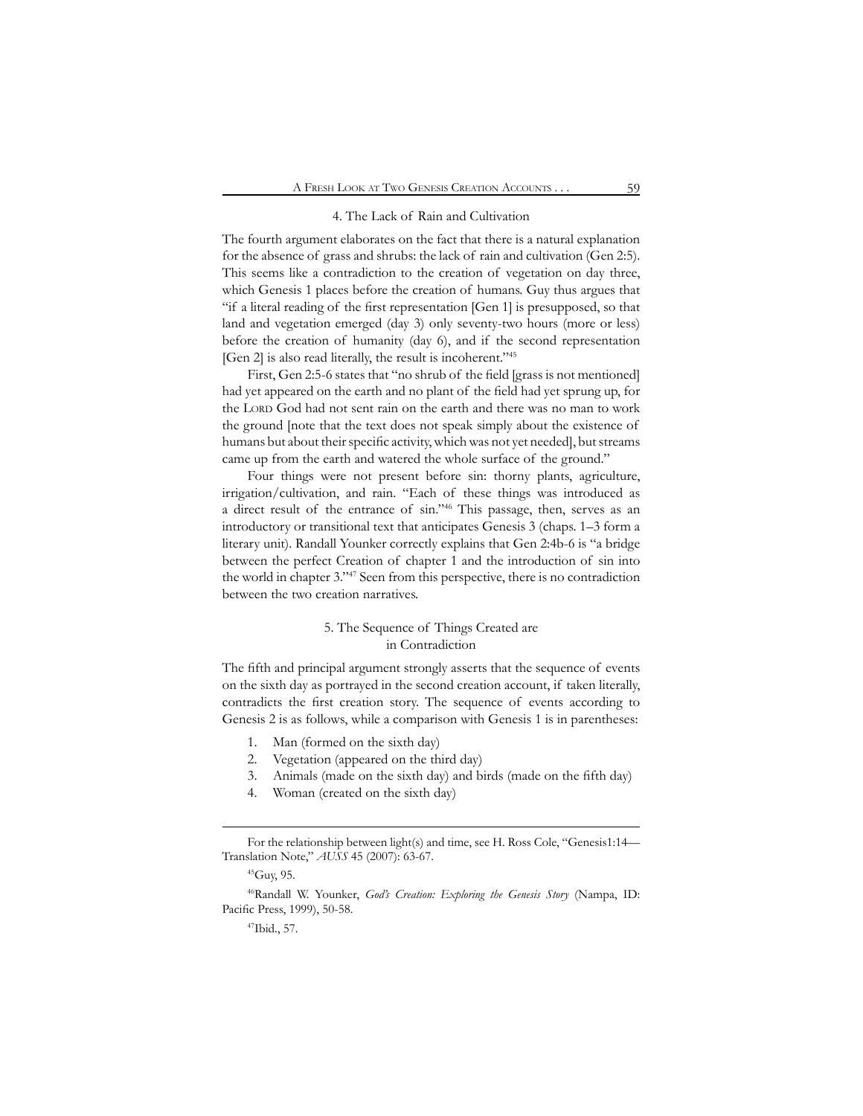### 4. The Lack of Rain and Cultivation

The fourth argument elaborates on the fact that there is a natural explanation for the absence of grass and shrubs: the lack of rain and cultivation (Gen 2:5). This seems like a contradiction to the creation of vegetation on day three, which Genesis 1 places before the creation of humans. Guy thus argues that "if a literal reading of the first representation [Gen 1] is presupposed, so that land and vegetation emerged (day 3) only seventy-two hours (more or less) before the creation of humanity (day 6), and if the second representation [Gen 2] is also read literally, the result is incoherent."45

First, Gen 2:5-6 states that "no shrub of the field [grass is not mentioned] had yet appeared on the earth and no plant of the field had yet sprung up, for the LORD God had not sent rain on the earth and there was no man to work the ground [note that the text does not speak simply about the existence of humans but about their specific activity, which was not yet needed], but streams came up from the earth and watered the whole surface of the ground."

Four things were not present before sin: thorny plants, agriculture, irrigation/cultivation, and rain. "Each of these things was introduced as a direct result of the entrance of sin."46 This passage, then, serves as an introductory or transitional text that anticipates Genesis 3 (chaps. 1–3 form a literary unit). Randall Younker correctly explains that Gen 2:4b-6 is "a bridge between the perfect Creation of chapter 1 and the introduction of sin into the world in chapter 3."47 Seen from this perspective, there is no contradiction between the two creation narratives.

# 5. The Sequence of Things Created are in Contradiction

The fifth and principal argument strongly asserts that the sequence of events on the sixth day as portrayed in the second creation account, if taken literally, contradicts the first creation story. The sequence of events according to Genesis 2 is as follows, while a comparison with Genesis 1 is in parentheses:

- 1. Man (formed on the sixth day)
- 2. Vegetation (appeared on the third day)
- 3. Animals (made on the sixth day) and birds (made on the fifth day)
- 4. Woman (created on the sixth day)

For the relationship between light(s) and time, see H. Ross Cole, "Genesis1:14— Translation Note," *AUSS* 45 (2007): 63-67.

<sup>45</sup>Guy, 95.

<sup>46</sup>Randall W. Younker, *God's Creation: Exploring the Genesis Story* (Nampa, ID: Pacific Press, 1999), 50-58.

<sup>47</sup>Ibid., 57.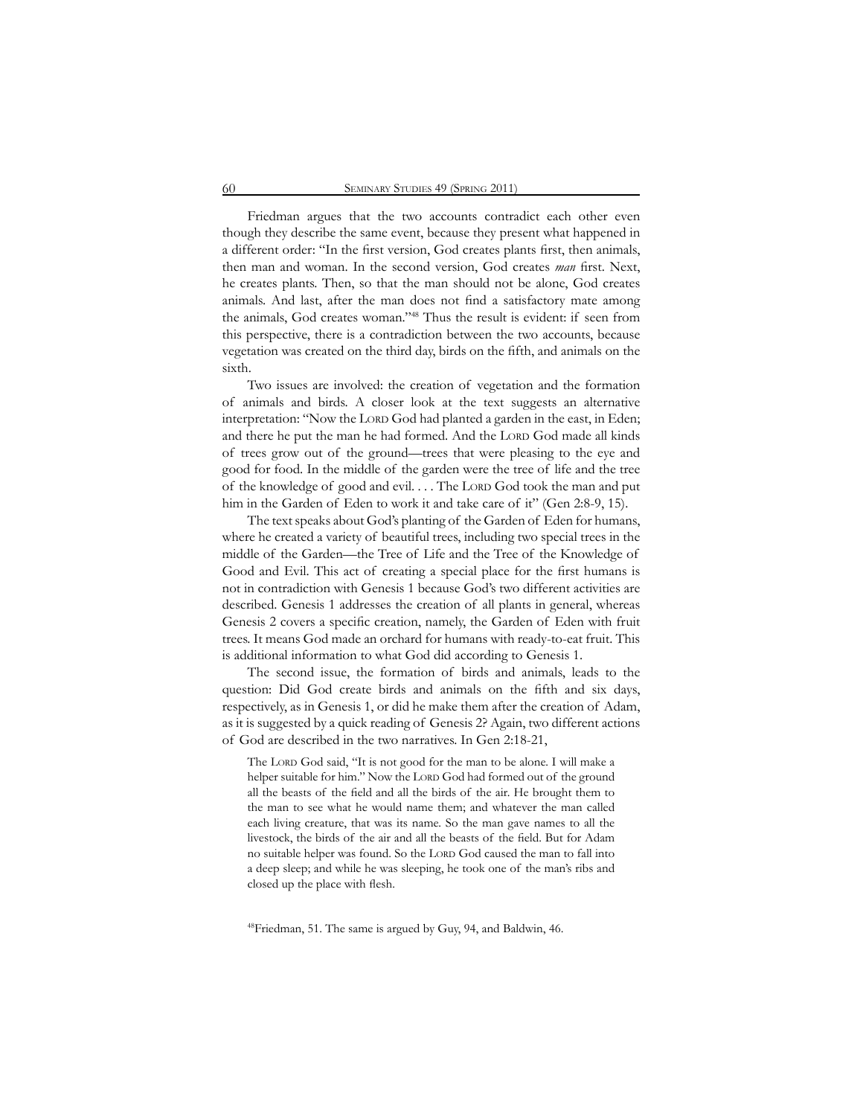Friedman argues that the two accounts contradict each other even though they describe the same event, because they present what happened in a different order: "In the first version, God creates plants first, then animals, then man and woman. In the second version, God creates *man* first. Next, he creates plants. Then, so that the man should not be alone, God creates animals. And last, after the man does not find a satisfactory mate among the animals, God creates woman."48 Thus the result is evident: if seen from this perspective, there is a contradiction between the two accounts, because vegetation was created on the third day, birds on the fifth, and animals on the sixth.

Two issues are involved: the creation of vegetation and the formation of animals and birds. A closer look at the text suggests an alternative interpretation: "Now the LORD God had planted a garden in the east, in Eden; and there he put the man he had formed. And the LORD God made all kinds of trees grow out of the ground—trees that were pleasing to the eye and good for food. In the middle of the garden were the tree of life and the tree of the knowledge of good and evil.... The Lord God took the man and put him in the Garden of Eden to work it and take care of it" (Gen 2:8-9, 15).

The text speaks about God's planting of the Garden of Eden for humans, where he created a variety of beautiful trees, including two special trees in the middle of the Garden—the Tree of Life and the Tree of the Knowledge of Good and Evil. This act of creating a special place for the first humans is not in contradiction with Genesis 1 because God's two different activities are described. Genesis 1 addresses the creation of all plants in general, whereas Genesis 2 covers a specific creation, namely, the Garden of Eden with fruit trees. It means God made an orchard for humans with ready-to-eat fruit. This is additional information to what God did according to Genesis 1.

The second issue, the formation of birds and animals, leads to the question: Did God create birds and animals on the fifth and six days, respectively, as in Genesis 1, or did he make them after the creation of Adam, as it is suggested by a quick reading of Genesis 2? Again, two different actions of God are described in the two narratives. In Gen 2:18-21,

The LORD God said, "It is not good for the man to be alone. I will make a helper suitable for him." Now the LORD God had formed out of the ground all the beasts of the field and all the birds of the air. He brought them to the man to see what he would name them; and whatever the man called each living creature, that was its name. So the man gave names to all the livestock, the birds of the air and all the beasts of the field. But for Adam no suitable helper was found. So the LORD God caused the man to fall into a deep sleep; and while he was sleeping, he took one of the man's ribs and closed up the place with flesh.

48Friedman, 51. The same is argued by Guy, 94, and Baldwin, 46.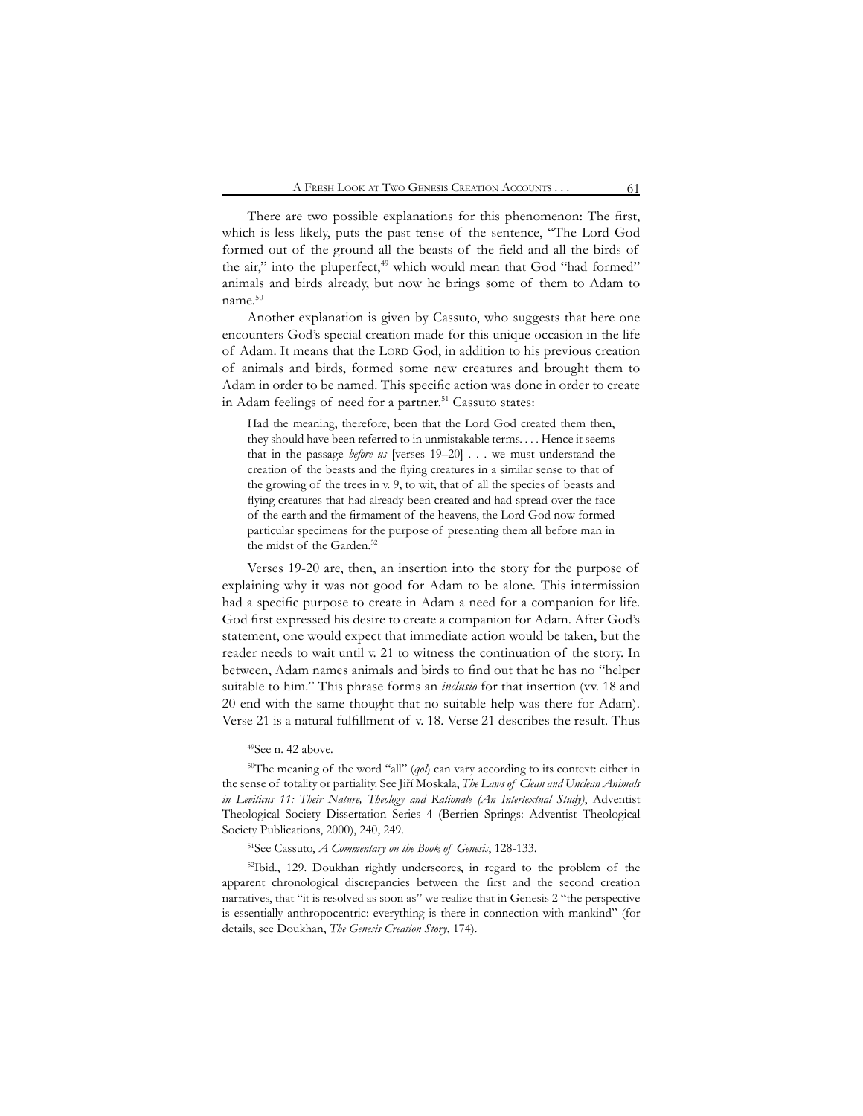There are two possible explanations for this phenomenon: The first, which is less likely, puts the past tense of the sentence, "The Lord God formed out of the ground all the beasts of the field and all the birds of the air," into the pluperfect,<sup>49</sup> which would mean that God "had formed" animals and birds already, but now he brings some of them to Adam to name.50

Another explanation is given by Cassuto, who suggests that here one encounters God's special creation made for this unique occasion in the life of Adam. It means that the LORD God, in addition to his previous creation of animals and birds, formed some new creatures and brought them to Adam in order to be named. This specific action was done in order to create in Adam feelings of need for a partner.<sup>51</sup> Cassuto states:

Had the meaning, therefore, been that the Lord God created them then, they should have been referred to in unmistakable terms. . . . Hence it seems that in the passage *before us* [verses 19–20] . . . we must understand the creation of the beasts and the flying creatures in a similar sense to that of the growing of the trees in v. 9, to wit, that of all the species of beasts and flying creatures that had already been created and had spread over the face of the earth and the firmament of the heavens, the Lord God now formed particular specimens for the purpose of presenting them all before man in the midst of the Garden.<sup>52</sup>

Verses 19-20 are, then, an insertion into the story for the purpose of explaining why it was not good for Adam to be alone. This intermission had a specific purpose to create in Adam a need for a companion for life. God first expressed his desire to create a companion for Adam. After God's statement, one would expect that immediate action would be taken, but the reader needs to wait until v. 21 to witness the continuation of the story. In between, Adam names animals and birds to find out that he has no "helper suitable to him." This phrase forms an *inclusio* for that insertion (vv. 18 and 20 end with the same thought that no suitable help was there for Adam). Verse 21 is a natural fulfillment of v. 18. Verse 21 describes the result. Thus

### 49See n. 42 above.

50The meaning of the word "all" (*qol*) can vary according to its context: either in the sense of totality or partiality. See Jiří Moskala, *The Laws of Clean and Unclean Animals in Leviticus 11: Their Nature, Theology and Rationale (An Intertextual Study)*, Adventist Theological Society Dissertation Series 4 (Berrien Springs: Adventist Theological Society Publications, 2000), 240, 249.

# 51See Cassuto, *A Commentary on the Book of Genesis*, 128-133.

52Ibid., 129. Doukhan rightly underscores, in regard to the problem of the apparent chronological discrepancies between the first and the second creation narratives, that "it is resolved as soon as" we realize that in Genesis 2 "the perspective is essentially anthropocentric: everything is there in connection with mankind" (for details, see Doukhan, *The Genesis Creation Story*, 174).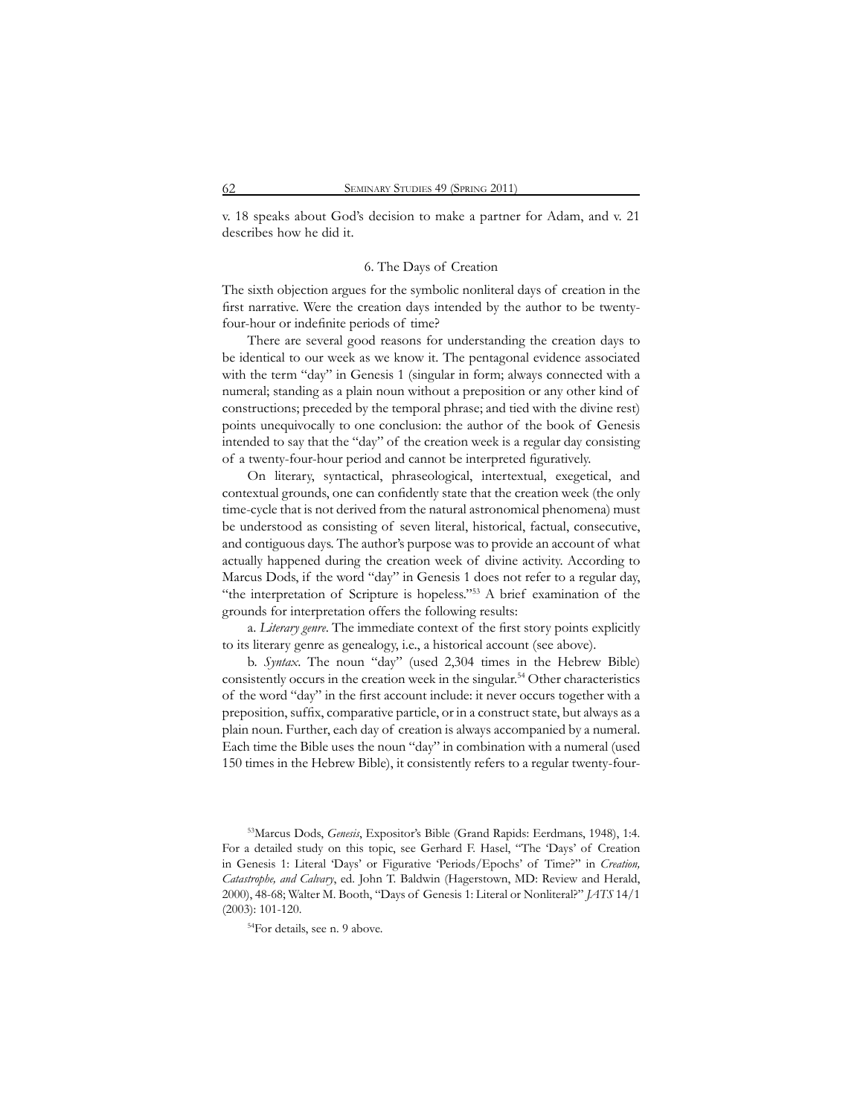v. 18 speaks about God's decision to make a partner for Adam, and v. 21 describes how he did it.

#### 6. The Days of Creation

The sixth objection argues for the symbolic nonliteral days of creation in the first narrative. Were the creation days intended by the author to be twentyfour-hour or indefinite periods of time?

There are several good reasons for understanding the creation days to be identical to our week as we know it. The pentagonal evidence associated with the term "day" in Genesis 1 (singular in form; always connected with a numeral; standing as a plain noun without a preposition or any other kind of constructions; preceded by the temporal phrase; and tied with the divine rest) points unequivocally to one conclusion: the author of the book of Genesis intended to say that the "day" of the creation week is a regular day consisting of a twenty-four-hour period and cannot be interpreted figuratively.

On literary, syntactical, phraseological, intertextual, exegetical, and contextual grounds, one can confidently state that the creation week (the only time-cycle that is not derived from the natural astronomical phenomena) must be understood as consisting of seven literal, historical, factual, consecutive, and contiguous days. The author's purpose was to provide an account of what actually happened during the creation week of divine activity. According to Marcus Dods, if the word "day" in Genesis 1 does not refer to a regular day, "the interpretation of Scripture is hopeless."53 A brief examination of the grounds for interpretation offers the following results:

a. *Literary genre*. The immediate context of the first story points explicitly to its literary genre as genealogy, i.e., a historical account (see above).

b. *Syntax*. The noun "day" (used 2,304 times in the Hebrew Bible) consistently occurs in the creation week in the singular.<sup>54</sup> Other characteristics of the word "day" in the first account include: it never occurs together with a preposition, suffix, comparative particle, or in a construct state, but always as a plain noun. Further, each day of creation is always accompanied by a numeral. Each time the Bible uses the noun "day" in combination with a numeral (used 150 times in the Hebrew Bible), it consistently refers to a regular twenty-four-

<sup>53</sup>Marcus Dods, *Genesis*, Expositor's Bible (Grand Rapids: Eerdmans, 1948), 1:4. For a detailed study on this topic, see Gerhard F. Hasel, "The 'Days' of Creation in Genesis 1: Literal 'Days' or Figurative 'Periods/Epochs' of Time?" in *Creation, Catastrophe, and Calvary*, ed. John T. Baldwin (Hagerstown, MD: Review and Herald, 2000), 48-68; Walter M. Booth, "Days of Genesis 1: Literal or Nonliteral?" *JATS* 14/1 (2003): 101-120.

<sup>54</sup>For details, see n. 9 above.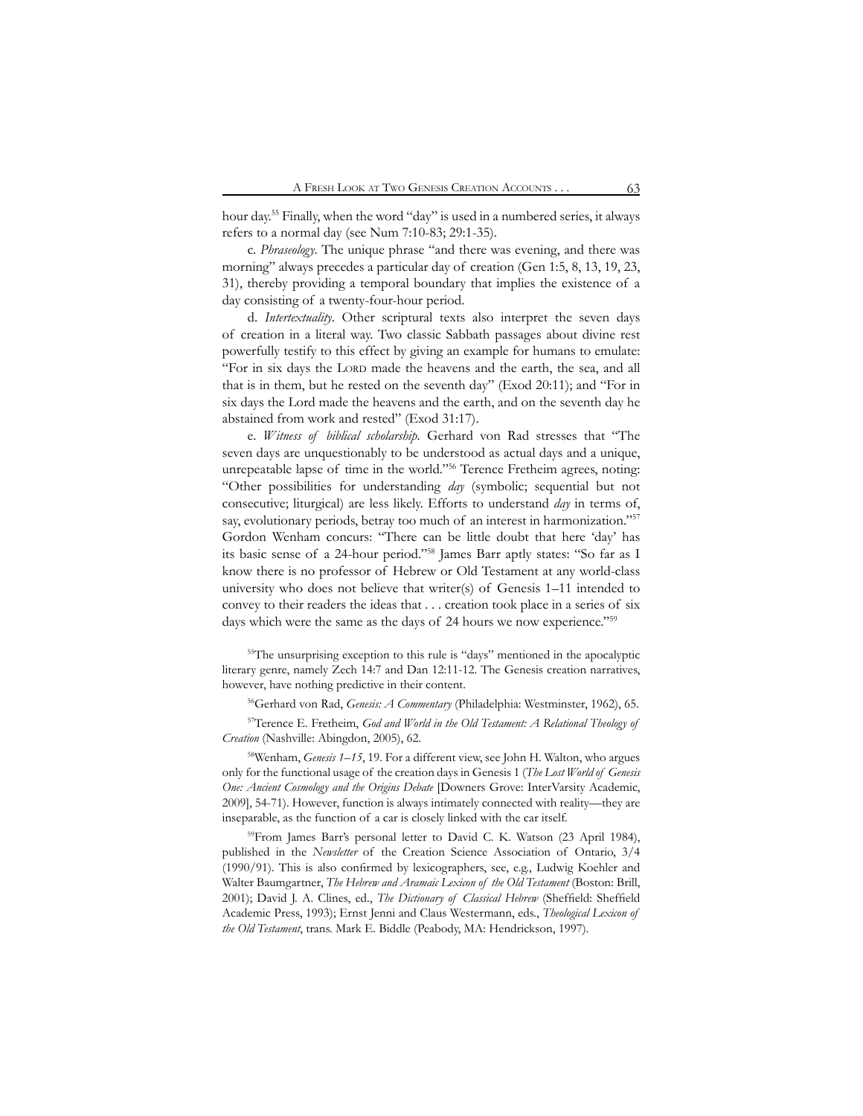hour day.55 Finally, when the word "day" is used in a numbered series, it always refers to a normal day (see Num 7:10-83; 29:1-35).

c. *Phraseology*. The unique phrase "and there was evening, and there was morning" always precedes a particular day of creation (Gen 1:5, 8, 13, 19, 23, 31), thereby providing a temporal boundary that implies the existence of a day consisting of a twenty-four-hour period.

d. *Intertextuality*. Other scriptural texts also interpret the seven days of creation in a literal way. Two classic Sabbath passages about divine rest powerfully testify to this effect by giving an example for humans to emulate: "For in six days the Lord made the heavens and the earth, the sea, and all that is in them, but he rested on the seventh day" (Exod 20:11); and "For in six days the Lord made the heavens and the earth, and on the seventh day he abstained from work and rested" (Exod 31:17).

e. *Witness of biblical scholarship*. Gerhard von Rad stresses that "The seven days are unquestionably to be understood as actual days and a unique, unrepeatable lapse of time in the world."56 Terence Fretheim agrees, noting: "Other possibilities for understanding *day* (symbolic; sequential but not consecutive; liturgical) are less likely. Efforts to understand *day* in terms of, say, evolutionary periods, betray too much of an interest in harmonization."<sup>57</sup> Gordon Wenham concurs: "There can be little doubt that here 'day' has its basic sense of a 24-hour period."58 James Barr aptly states: "So far as I know there is no professor of Hebrew or Old Testament at any world-class university who does not believe that writer(s) of Genesis 1–11 intended to convey to their readers the ideas that . . . creation took place in a series of six days which were the same as the days of 24 hours we now experience."<sup>59</sup>

<sup>55</sup>The unsurprising exception to this rule is "days" mentioned in the apocalyptic literary genre, namely Zech 14:7 and Dan 12:11-12. The Genesis creation narratives, however, have nothing predictive in their content.

56Gerhard von Rad, *Genesis: A Commentary* (Philadelphia: Westminster, 1962), 65.

57Terence E. Fretheim, *God and World in the Old Testament: A Relational Theology of Creation* (Nashville: Abingdon, 2005), 62.

<sup>58</sup>Wenham, *Genesis 1–15*, 19. For a different view, see John H. Walton, who argues only for the functional usage of the creation days in Genesis 1 (*The Lost World of Genesis One: Ancient Cosmology and the Origins Debate* [Downers Grove: InterVarsity Academic, 2009], 54-71). However, function is always intimately connected with reality—they are inseparable, as the function of a car is closely linked with the car itself.

<sup>59</sup>From James Barr's personal letter to David C. K. Watson (23 April 1984), published in the *Newsletter* of the Creation Science Association of Ontario, 3/4 (1990/91). This is also confirmed by lexicographers, see, e.g., Ludwig Koehler and Walter Baumgartner, *The Hebrew and Aramaic Lexicon of the Old Testament* (Boston: Brill, 2001); David J. A. Clines, ed., *The Dictionary of Classical Hebrew* (Sheffield: Sheffield Academic Press, 1993); Ernst Jenni and Claus Westermann, eds., *Theological Lexicon of the Old Testament*, trans. Mark E. Biddle (Peabody, MA: Hendrickson, 1997).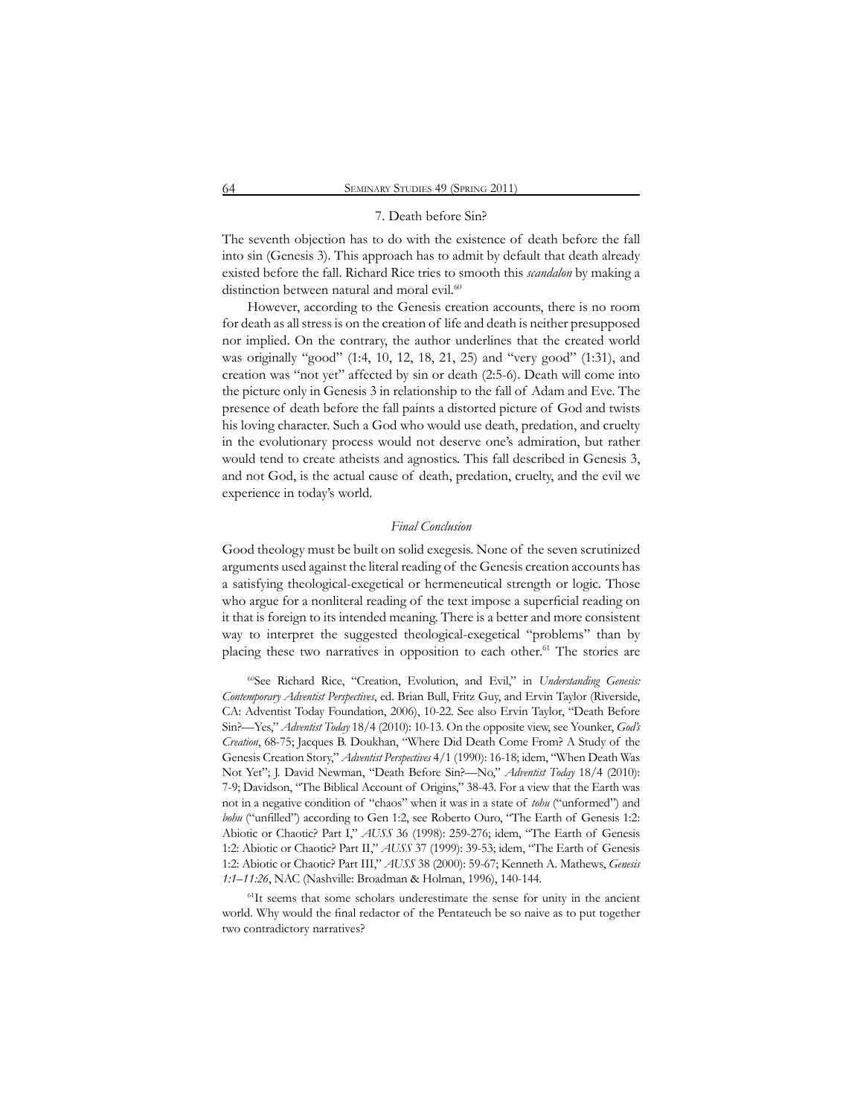#### 7. Death before Sin?

The seventh objection has to do with the existence of death before the fall into sin (Genesis 3). This approach has to admit by default that death already existed before the fall. Richard Rice tries to smooth this *scandalon* by making a distinction between natural and moral evil.<sup>60</sup>

However, according to the Genesis creation accounts, there is no room for death as all stress is on the creation of life and death is neither presupposed nor implied. On the contrary, the author underlines that the created world was originally "good" (1:4, 10, 12, 18, 21, 25) and "very good" (1:31), and creation was "not yet" affected by sin or death (2:5-6). Death will come into the picture only in Genesis 3 in relationship to the fall of Adam and Eve. The presence of death before the fall paints a distorted picture of God and twists his loving character. Such a God who would use death, predation, and cruelty in the evolutionary process would not deserve one's admiration, but rather would tend to create atheists and agnostics. This fall described in Genesis 3, and not God, is the actual cause of death, predation, cruelty, and the evil we experience in today's world.

### *Final Conclusion*

Good theology must be built on solid exegesis. None of the seven scrutinized arguments used against the literal reading of the Genesis creation accounts has a satisfying theological-exegetical or hermeneutical strength or logic. Those who argue for a nonliteral reading of the text impose a superficial reading on it that is foreign to its intended meaning. There is a better and more consistent way to interpret the suggested theological-exegetical "problems" than by placing these two narratives in opposition to each other.<sup>61</sup> The stories are

60See Richard Rice, "Creation, Evolution, and Evil," in *Understanding Genesis: Contemporary Adventist Perspectives*, ed. Brian Bull, Fritz Guy, and Ervin Taylor (Riverside, CA: Adventist Today Foundation, 2006), 10-22. See also Ervin Taylor, "Death Before Sin?—Yes," *Adventist Today* 18/4 (2010): 10-13. On the opposite view, see Younker, *God's Creation*, 68-75; Jacques B. Doukhan, "Where Did Death Come From? A Study of the Genesis Creation Story," *Adventist Perspectives* 4/1 (1990): 16-18; idem, "When Death Was Not Yet"; J. David Newman, "Death Before Sin?—No," *Adventist Today* 18/4 (2010): 7-9; Davidson, "The Biblical Account of Origins," 38-43. For a view that the Earth was not in a negative condition of "chaos" when it was in a state of *tohu* ("unformed") and *bohu* ("unfilled") according to Gen 1:2, see Roberto Ouro, "The Earth of Genesis 1:2: Abiotic or Chaotic? Part I," *AUSS* 36 (1998): 259-276; idem, "The Earth of Genesis 1:2: Abiotic or Chaotic? Part II," *AUSS* 37 (1999): 39-53; idem, "The Earth of Genesis 1:2: Abiotic or Chaotic? Part III," *AUSS* 38 (2000): 59-67; Kenneth A. Mathews, *Genesis 1:1–11:26*, NAC (Nashville: Broadman & Holman, 1996), 140-144.

61It seems that some scholars underestimate the sense for unity in the ancient world. Why would the final redactor of the Pentateuch be so naive as to put together two contradictory narratives?